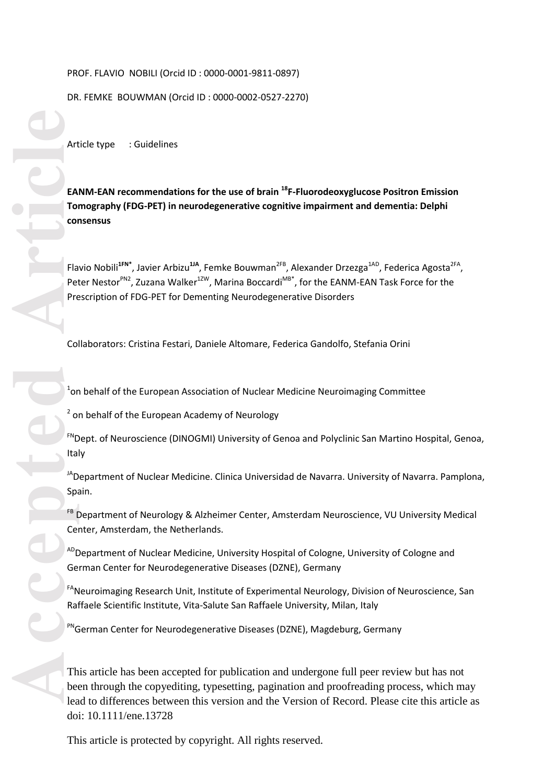### PROF. FLAVIO NOBILI (Orcid ID : 0000 -0001 -9811 -0897)

### DR. FEMKE BOUWMAN (Orcid ID : 0000 -0002 -0527 -2270)

Article type : Guidelines

**EANM -EAN recommendations for the use of brain <sup>18</sup> F -Fluorodeoxyglucose Positron Emission Tomography (FDG -PET) in neurodegenerative cognitive impairment and dementia: Delphi consensus**

Flavio Nobili<sup>1FN\*</sup>, Javier Arbizu<sup>1JA</sup>, Femke Bouwman<sup>2FB</sup>, Alexander Drzezga<sup>1AD</sup>, Federica Agosta<sup>2FA</sup>, Peter Nestor<sup>PN2</sup>, Zuzana Walker<sup>12W</sup>, Marina Boccardi<sup>MB\*</sup>, for the EANM-EAN Task Force for the Prescription of FDG -PET for Dementing Neurodegenerative Disorders

Collaborators: Cristina Festari, Daniele Altomare, Federica Gandolfo, Stefania Orini

 $^{1}$ on behalf of the European Association of Nuclear Medicine Neuroimaging Committee

<sup>2</sup> on behalf of the European Academy of Neurology

<sup>FN</sup>Dept. of Neuroscience (DINOGMI) University of Genoa and Polyclinic San Martino Hospital, Genoa, Italy

<sup>JA</sup>Department of Nuclear Medicine. Clinica Universidad de Navarra. University of Navarra. Pamplona, Spain.

<sup>FB</sup> Department of Neurology & Alzheimer Center, Amsterdam Neuroscience, VU University Medical Center, Amsterdam, the Netherlands.

<sup>AD</sup>Department of Nuclear Medicine, University Hospital of Cologne, University of Cologne and German Center for Neurodegenerative Diseases (DZNE), Germany

<sup>FA</sup>Neuroimaging Research Unit, Institute of Experimental Neurology, Division of Neuroscience, San Raffaele Scientific Institute, Vita-Salute San Raffaele University, Milan, Italy

PNGerman Center for Neurodegenerative Diseases (DZNE), Magdeburg, Germany

This article has been accepted for publication and undergone full peer review but has not been through the copyediting, typesetting, pagination and proofreading process, which may lead to differences between this version and the Version of Record. Please cite this article as doi: 10.1111/ene.13728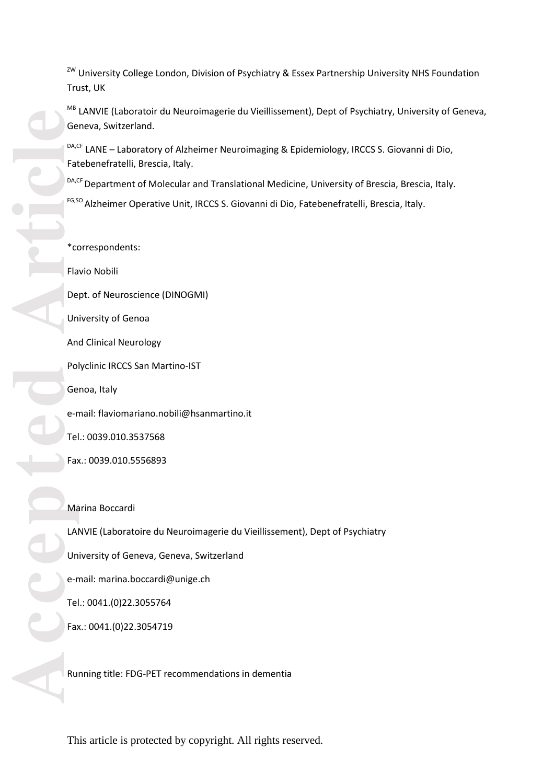<sup>ZW</sup> University College London, Division of Psychiatry & Essex Partnership University NHS Foundation Trust, UK

MB LANVIE (Laboratoir du Neuroimagerie du Vieillissement), Dept of Psychiatry, University of Geneva, Geneva, Switzerland.

<sup>DA,CF</sup> LANE – Laboratory of Alzheimer Neuroimaging & Epidemiology, IRCCS S. Giovanni di Dio, Fatebenefratelli, Brescia, Italy.

DA,CF Department of Molecular and Translational Medicine, University of Brescia, Brescia, Italy.

<sup>FG,SO</sup> Alzheimer Operative Unit, IRCCS S. Giovanni di Dio, Fatebenefratelli, Brescia, Italy.

\*correspondent s : Flavio Nobili Dept. of Neuroscience (DINOGMI) University of Genoa And Clinical Neurology Pol yclinic IRCCS San Martino -IST Genoa, Italy e-mail: flaviomariano.nobili@hsanmartino.it Tel.: 0039.010.3537568 Fax.: 0039.010.5556893 Marina Boccardi LANVIE (Laboratoir e du Neuroimagerie du Vieillissement), Dept of Psychiatry University of Geneva, Geneva, Switzerland e-mail: marina.boccardi@unige.ch Tel.: 0041.(0)22.3055764

Running title: FDG-PET recommendations in dementia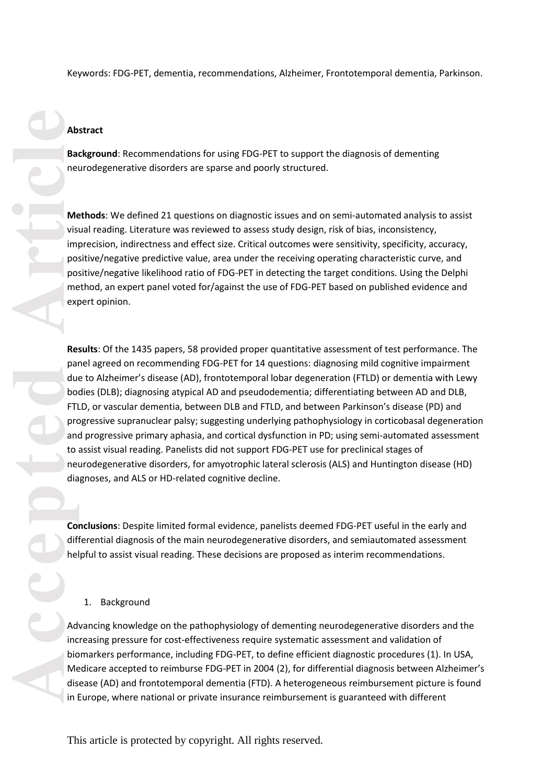#### **Abstract**

**Background**: Recommendations for using FDG -PET to support the diagnosis of dementing neurodegenerative disorders are sparse and poorly structured.

**Methods**: We defined 21 questions on diagnostic issues and on semi -automated analysis to assist visual reading. Literature was reviewed to assess study design, risk of bias, inconsistency, imprecision, indirectness and effect size. Critical outcomes were sensitivity, specificity, accuracy, positive/negative predictive value, area under the receiving operating characteristic curve, and positive/negative likelihood ratio of FDG -PET in detecting the target conditions. Using the Delphi method, an expert panel voted for/against the use of FDG-PET based on published evidence and expert opinion.

Theywords: FDG-FET, dementia, recommendations, Alzheimer, Frontotemporal dementia, Parkinson,<br>Abstract<br>Exactional Recommendations for using FDG-PET to support the diagnosis of dementing<br>diagnosis resulting. Uterature vasci Results: Of the 1435 papers, 58 provided proper quantitative assessment of test performance. The panel agreed on recommending FDG -PET for 14 questions : diagnosing mild cognitive impairment due to Alzheimer's disease (AD ), frontotemporal lobar degeneration (FTLD) or dementia with Lewy bodies (DLB) ; diagnosing atypical AD and pseudodementia; differentiating between AD and DLB, FTLD, or vascular dementia, between DLB and FTLD, and between Parkinson's disease (PD) and progressive supranuclear palsy; suggesting underlying pathophysiolog y in corticobasal degeneration and progressive primary aphasia, and cortical dysfunction in PD; using semi -automated assessment to assist visual reading. Panelists did not support FDG -PET use for preclinical stages of neurodegenerative disorders , for amyotrophic lateral sclerosis (ALS) and Hunting ton disease (HD ) diagnoses, and ALS or HD -related cognitive decline.

**Conclusions**: Despite limited formal evidence, panelists deemed FDG -PET useful in the early and differential diagnosis of the main neurodegenerative disorders, and semiautomated assessment helpful to assist visual reading. These decisions are proposed as interim recommendations .

#### 1. Background

Advancing knowledge on the pathophysiology of dementing neurodegenerative disorders and the increasing pressure for cost-effectiveness require systematic assessment and validation of biomarkers performance, including FDG -PET , to define efficient diagnostic procedure s (1). In USA, Medicare accepted to reimburse FDG -PET in 200 4 (2) , for differential diagnosis between Alzheimer's disease (AD) and frontotemporal dementia (FTD). A heterogeneous reimbursement picture is found in Europe, where national or private insurance reimbursement is guaranteed with different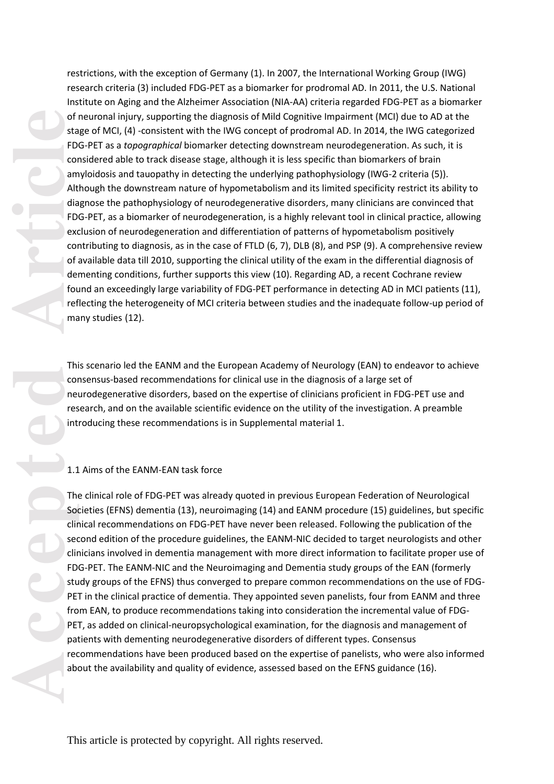of<br>
ta FD<br>
cor<br>
am Alt<br>
dia FD<br>
ex<br>
cor<br>
del<br>
four del<br>
four del<br>
four del<br>
four del<br>
four del<br>
four del<br>
four del<br>
four del<br>
four del<br>
four del<br>
four del<br>
four del<br>
four del<br>
four del<br>
four del<br>
four del<br>
four del<br>
four d

restrictions, with the exception of Germany (1). In 2007, the International Working Group (IWG) research criteria (3) included FDG -PET as a biomarker for prodromal AD. In 2011 , the U.S. National Institute o n Aging and the Alzheimer Association (NIA -AA) criteria regarded FDG -PET as a biomarker of neuronal injury , supporting the diagnosis of Mild Cognitive Impairment (MCI) due to AD at the stage of MCI , (4) -consistent with the IWG concept of prodromal AD. In 2014, the IWG categorized FDG -PET as a *topographical* biomarker detecting downstream neurodegeneration. As such, it is considered able to track disease stage, although it is less specific than biomarkers of brain amyloidosis and tauopathy in detecting the underlying pathophysiology (IWG -2 criteria (5)). Although the downstream nature of hypometabolism and its limited specificity restrict its ability to diagnos e the pathophysiology of neurodegenerative disorders, many clinicians are convinced that FDG -PET , as a biomarker of neurodegeneration, is a highly relevant tool in clinical practice, allowing exclusion of neurodegeneration and differentiation of patterns of hypometabolism positively contributing to diagnosis, as in the case of FTLD (6, 7) , DLB (8), and PSP (9) . A comprehensive review of available data till 2010 , supporting the clinical utility of the exam in the differential diagnosis of dementing conditions, further supports this view (10). Regarding AD, a recent Cochrane review found an exceedingly large variability of FDG -PET performance in detecting AD in MCI patients (11), reflecting the heterogeneity of MCI criteria between studies and the inadequate follow -up period of many studies (12) .

This scenario led the EANM and the European Academy of Neurology (EAN ) to endeavor to achieve consensu s -based recommendations for clinical use in the diagnosis of a large set of neurodegenerative disorders, based on the expertise of clinicians proficient in FDG -PET use and research, and on the available scientific evidence on the utility of the investigation . A preamble introducing these recommendations is in Supplemental material 1.

# 1.1 Aims of the EANM -EAN task force

The clinical role of FDG -PET was already quoted in previous European Federation of Neurological Societies (EFNS) dementia (13), neuroimaging (14) and EANM procedure (15) guidelines, but specific clinical recommendations on FDG -PET have never been released. Following the publication of the second edition of the procedure guidelines, the EANM-NIC decided to target neurologists and other clinicians involved in dementia management with more direct information to facilitate proper use of FDG -PET . The EANM -NIC and the Neuroimaging and Dementia study groups of the EAN (formerly study groups of the EFNS) thus converged to prepare common recommendations on the use of FDG - PET in the clinical practice of dementia. They appointed seven panelists, four from EANM and three from EAN, to produc e recommendations taking into consideration the incremental value of FDG - PET, as added on clinical-neuropsychological examination, for the diagnosis and management of patients with dementing neurodegenerative disorders of different types. Consensus recommendations have been produced based on the expertise of panelists , who were also informed about the availability and quality of evidence , assessed based on the EFNS guidance (16).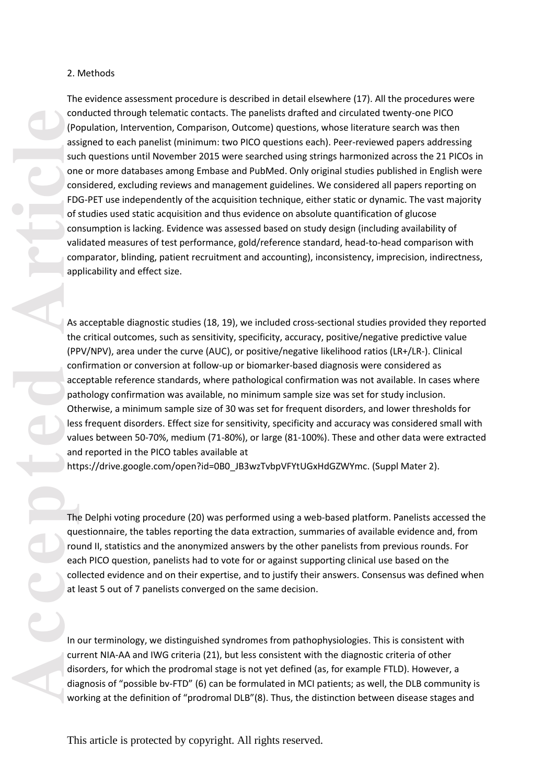#### 2. Methods

Condension (Pc)<br>
As such condension (Pc)<br>
ass such condension (Pc)<br>
of a such condension (Pc)<br>
of a condension and condension<br>
and Dtl les val and Dtl les val and Dtl les val and that<br>
the (PF condect)<br>
and Dtl les val and The evidence assessment procedure is described in detail elsewhere (17). All the procedures were conducted through telematic contacts. The panelists drafted and circulated twenty -one PICO (Population, Intervention, Comparison, Outcome) questions, whose literature search was then assigned to each panelist (minimum: two PICO questions each). Peer -reviewed papers addressing such questions until November 2015 were searched using strings harmonized across the 21 PICOs in one or more databases among Embase and PubMed. Only original studies published in English were considered, excluding reviews and management guidelines. We considered all papers reporting on FDG -PET use independently of the acquisition technique, either static or dynamic. The vast majority of studies used static acquisition and thus evidence on absolute quantification of glucose consumption is lacking. Evidence was assessed based on study design (including availability of validated measures of test performance, gold/reference standard, head -to -head comparison with comparator, blinding, patient recruitment and accounting), inconsistency, imprecision, indirectness, applicability and effect size.

As acceptable diagnostic studies (18, 19), we included cross -sectional studies provided they reported the critical outcomes, such as sensitivity, specificity, accuracy, positive/negative predictive value (PPV/NPV), area under the curve (AUC), or positive/negative likelihood ratio s (LR+/LR - ). Clinical confirmation or conversion at follow -up or biomarker -based diagnosis were considered as acceptable reference standard s, where pathological confirmation was not available. In cases where pathology confirmation was available, no minimum sample size was set for stud y inclusion. Otherwise, a minimum sample size of 30 was set for frequent disorders, and lower thresholds for less frequent disorders. Effect size for sensitivity, specificity and accuracy was considered small with values between 50 -70%, medium (71 -80%), or large (81 -100%). These and other data were extracted and reported in the PICO tables available at

https://drive.google.com/open?id=0B0\_JB3wzTvbpVFYtUGxHdGZWYmc . (Suppl Mater 2).

The Delphi voting procedure (20) was performed using a web -based platform. Panelists accessed the questionnaire, the tables reporting the data extraction, summaries of available evidence and, from round II, statistics and the anonymized answers by the other panelists from previous rounds. For each PICO question, panelists had to vote for or against supporting clinical use based on the collected evidence and on their expertise, and to justify their answers. Consensus was defined when at least 5 out of 7 panelists converged on the same decision.

In our terminology, we distinguished syndromes from pathophysiologies. This is consistent with current NIA -AA and IWG criteria (21), but less consistent with the diagnostic criteria of other disorders, for which the prodromal stage is not yet defined (as, for example FTLD). However, a diagnosis of "possible bv -FTD" (6) can be formulated in MCI patients; as well, the DLB community is working at the definition of "prodromal DLB"(8). Thus, the distinction between disease stages and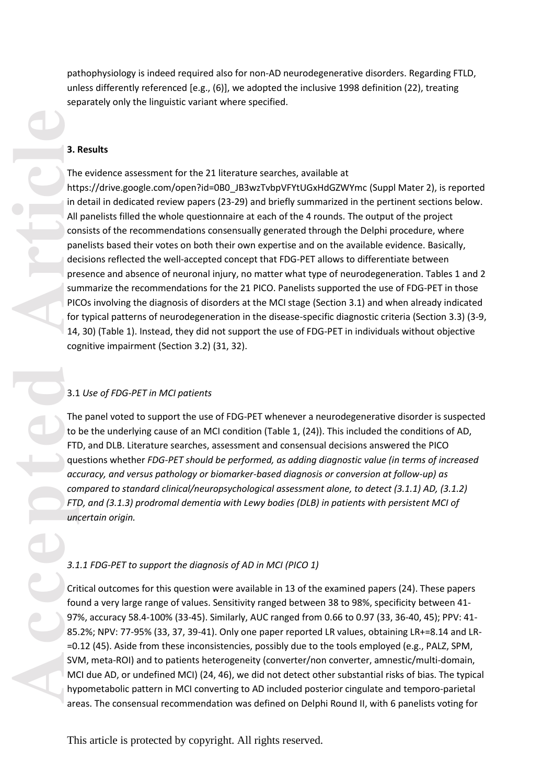pathophysiology is indeed required also for non -AD neurodegenerative disorders . Regarding FTLD, unless differently referenced [e.g., (6) ], we adopted the inclusive 1998 definition (22), treating separately only the linguistic variant where specified.

#### **3. Results**

The evidence assessment for the 21 literature searches, available at https://drive.google.com/open?id=0B0\_JB3wzTvbpVFYtUGxHdGZWYmc (Suppl Mater 2), is reported in detail in dedicated review papers (23 -29) and briefly summarized in the pertinent sections below. All panelists filled the whole questionnaire at each of the 4 rounds. The output of the project consists of the recommendations consensually generated through the Delphi procedure, where panelists based their votes on both their own expertise and on the available evidence . Basically, decisions reflected the well -accepted concept that FDG -PET allows to differentiate between presence and absence of neuronal injury, no matter what type of neurodegeneration. Tables 1 and 2 summarize the recommendations for the 21 PICO. Panelists supported the use of FDG -PET in those PICO s involving the diagnosis of disorders at the MCI stage (Section 3.1) and when already indicated for typical patterns of neurodegeneration in the disease -specific diagnostic criteria (Section 3.3) (3 -9, 14, 30) (Table 1). Instead, they did not support the use of FDG-PET in individuals without objective cognitive impairment (Section 3.2) (31, 32) .

## 3.1 *Use of FDG -PET in MCI patients*

The panel voted to support the use of FDG -PET whenever a neurodegenerative disorder is suspected to be the underlying cause of an MCI condition (Table 1, (24) ). This included the conditions of AD, FT D, and DLB. Literature searches, assessment and consensual decisions answered the PICO questions whether *FDG - PET should be performed, as adding diagnostic value (in terms of increased accuracy, and versus pathology or biomarker -based diagnosis or conversion at follow -up) as compared to standard clinical/neuropsychological assessment alone, to detect (3.1.1 ) AD, (3.1.2 ) FTD, and (3.1.3 ) prodromal dementia with Lewy bodies (DLB) in patients with persistent MCI of uncertain origin.*

### *3.1.1 FDG -PET to support the diagnosis of AD in MCI (PICO 1)*

Critical outcomes for this question were available in 13 of the examined papers (24). These papers found a very large range of values. Sensitivity ranged between 38 to 98%, specificity between 41 - 97%, accuracy 58.4-100% (33-45). Similarly, AUC ranged from 0.66 to 0.97 (33, 36-40, 45); PPV: 41-85.2%; NPV: 77-95% (33, 37, 39-41). Only one paper reported LR values, obtaining LR+=8.14 and LR-=0.12 (45). Aside from these inconsistencies, possibly due to the tools employed (e.g., PALZ, SPM, SVM, meta -ROI) and to patients heterogeneity (converter/non converter, amnestic/multi -domain, MCI due AD, or undefined MCI) (24, 46), we did not detect other substantial risks of bias. The typical hypometabolic pattern in MCI converting to AD included posterior cingulate and temporo -parietal areas. The consensual recommendation was defined on Delphi Round II, with 6 panelists voting for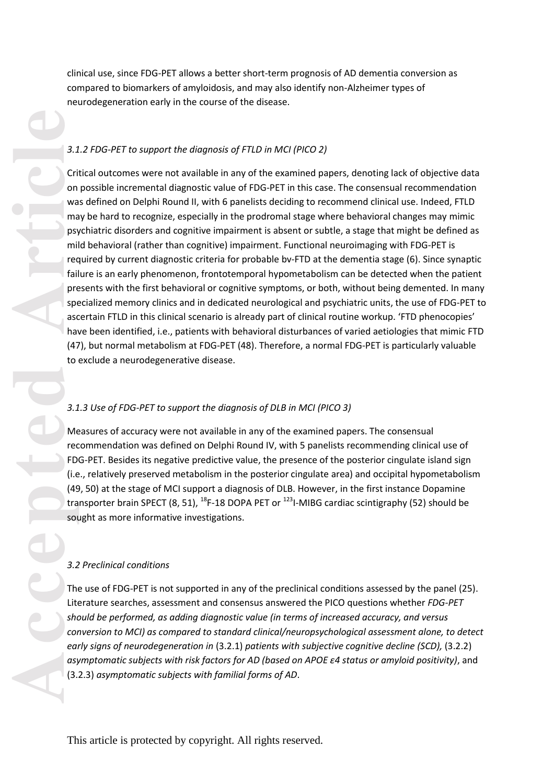clinical use, since FDG -PET allows a better short -term prognosis of AD dementia conversion as compared to biomarkers of amyloidosis, and may also identify non -Alzheimer types of neurodegeneration early in the course of the disease.

#### *3.1.2 FDG -PET to support the diagnosis of FTLD in MCI (PICO 2)*

Critical outcomes were not available in any of the examined papers, denoting lack of objective data on possible incremental diagnostic value of FDG -PET in this case . The consensual recommendation was defined on Delphi Round II, with 6 panelists deciding to recommend clinical use. Indeed, FTLD may be hard to recognize, especially in the prodromal stage where behavioral changes may mimic psychiatric disorders and cognitive impairment is absent or subtle, a stage that might be defined as mild behavioral (rather than cognitive) impairment. Functional neuroimaging with FDG -PET is required by current diagnostic criteria for probable bv -FTD at the dementia stage (6). Since synaptic failure is an early phenomenon, frontotemporal hypometabolism can be detected when the patient presents with the first behavioral or cognitive symptoms, or both, without being demented. In many specialized memory clinics and in dedicated neurological and psychiatric units , the use of FDG -PET to ascertain FT L D in this clinical scenario is already part of clinical routine workup. 'FTD phenocopies' have been identified, i.e., patients with behavioral disturbances of varied aetiologies that mimic FTD (47), but normal metabolism at FDG-PET (48). Therefore, a normal FDG-PET is particularly valuable to exclude a neurodegenerative disease .

#### *3.1.3 Use of FDG -PET to support the diagnosis of DLB in MCI (PICO 3)*

Measures of accuracy were not available in any of the examined papers. The consensual recommendation was defined on Delphi Round IV, with 5 panelists recommending clinical use of FDG -PET . Besides its negative predictive value, the presence of the posterior cingulate island sign (i.e., relatively preserved metabolism in the posterior cingulate area) and occipital hypometabolism (49, 50) at the stage of MCI support a diagnosis of DLB. However , in the first instance Dopamine transporter brain SPECT (8, 51), <sup>18</sup>F-18 DOPA PET or <sup>123</sup>I-MIBG cardiac scintigraphy (52) should be sought as more informative investigation s .

#### *3. 2 Preclinical conditions*

The use of FDG -PET is not supported in any of the preclinical conditions assessed by the panel (25) . Literature searches, assessment and consensus answered the PICO questions whether *FDG -PET should be performed, as adding diagnostic value (in terms of increased accuracy, and versus conversion to MCI) as compared to standard clinical/neuropsychological assessment alone, to detect early signs of neurodegeneration in* (3.2.1 ) *patients with subjective cognitive decline (SCD),*  (3.2.2 ) *asymptomatic subjects with risk factors for AD (based on APOE ε4 status or amyloid positivity)*, and (3.2.3) *asymptomatic subjects with familial forms of AD*.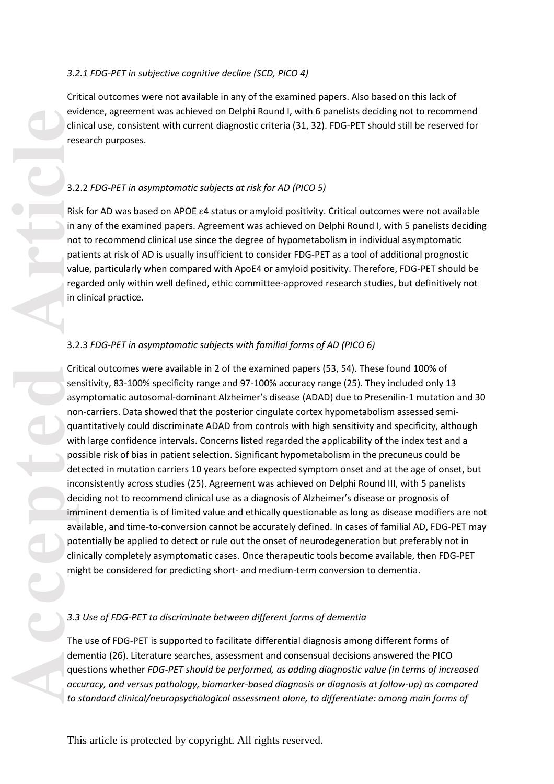## *3.2.1 FDG -PET in subjective cognitive decline (SCD, PICO 4 )*

Critical outcomes were not available in any of the examined papers. Also based on this lack of evidence, agreement was achieved on Delphi Round I, with 6 panelists deciding not to recommend clinical use, consistent with current diagnostic criteria (31, 32) . FDG -PET should still be reserved for research purposes.

# 3.2.2 *FDG -PET in asymptomatic subjects at risk for AD (PICO 5)*

Risk for AD was based on APOE ε4 status or amyloid positivity. Critical outcomes were not available in any of the examined papers. Agreement was achieved on Delphi Round I, with 5 panelists deciding not to recommend clinical use since the degree of hypometabolism in individual asymptomatic patients at risk of AD is usually insufficient to consider FDG -PET as a tool of additional prognostic value, particularly when compared with ApoE4 or amyloid positivity. Therefore, FDG -PET should be regarded only within well defined, ethic committee -approved research studies, but definitively not in clinical practice.

## 3.2.3 *FDG -PET in asymptomatic subjects with familial forms of AD (PICO 6)*

evident and accepted and accepted and accepted and accepted and accepted and accepted and accepted accepted and accepted accepted accepted accepted accepted accepted accepted accepted accepted accepted accepted accepted ac Critical outcomes were available in 2 of the examined papers (53, 54). These found 100% of sensitivity, 83 -100% specificity range and 97 -100% accuracy range (25). They included only 13 asymptomatic autosomal-dominant Alzheimer's disease (ADAD) due to Presenilin-1 mutation and 30 non -carriers. Data showed that the posterior cingulate cortex hypometabolism assessed semi quantitatively could discriminate ADAD from controls with high sensitivity and specificity, although with large confidence intervals. Concerns listed regarded the applicability of the index test and a possible risk of bias in patient selection. Significant hypometabolism in the precuneus could be detected in mutation carriers 10 years before expected symptom onset and at the age of onset, but inconsistently across studies (25). Agreement was achieved on Delphi Round III, with 5 panelists deciding not to recommend clinical use as a diagnosis of Alzheimer's disease or prognosis of imminent dementia is of limited value and ethically questionable as long as disease modifiers are not available, and time-to-conversion cannot be accurately defined. In cases of familial AD, FDG-PET may potentially be applied to detect or rule out the onset of neurodegeneration but preferably not in clinically completely asymptomatic cases. Once therapeutic tools become available, then FDG -PET might be considered for predicting short - and medium -term conversion to dementia.

## *3. 3 Use of FDG -PET to discriminate between different forms of dementia*

The use of FDG -PET is supported to facilitate differential diagnosis among different forms of dementia (26) . Literature searches, assessment and consensual decisions answered the PICO questions whether *FDG -PET should be performed, as adding diagnostic value (in terms of increased accuracy, and versus pathology, biomarker -based diagnosis or diagnosis at follow -up) as compared to standard clinical/neuropsychological assessment alone, to differentiate : among main forms of*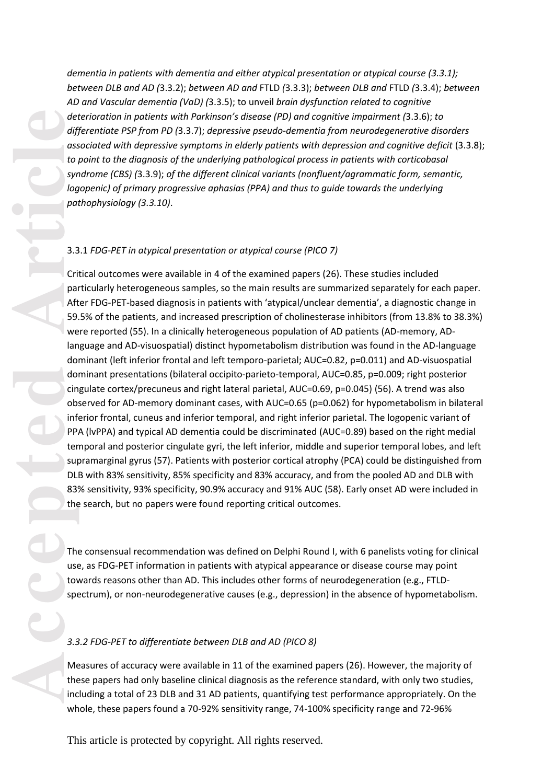*dementia in patients with dementia and either atypical presentation or atypical course (3.3.1); between DLB and AD (*3.3.2); *between AD and* FT L D *(* 3.3.3); *between DLB and* FT L D *(*3.3.4); *between AD and Vascular dementia (VaD ) (*3.3.5); to unveil *brain dysfunction related to cognitive deterioration in patients with Parkinson's disease (PD ) and cognitive impairment (*3.3.6); *to differentiate PSP from PD (*3.3.7); *depressive pseudo -dementia from neurodegenerative disorders associated with depressive symptoms in elderly patients with depression and cognitive deficit* (3.3.8); *to point to the diagnosis of the underlying pathological process in patients with corticobasal syndrome (CBS) (*3.3.9); *of the different clinical variants (nonfluent/agrammatic form, semantic, logopenic) of primary progressive aphasias (PPA) and thus to guide towards the underlying pathophysiology (3.3.10)* .

## 3.3.1 *FDG -PET in atypical presentation or atypical course (PICO 7)*

Critical outcomes were available in 4 of the examined papers (26). These studies included particularly heterogeneous samples, so the main results are summarized separately for each paper. After FDG -PET -based diagnosis in patients with 'atypical/unclear dementia', a diagnostic change in 59.5% of the patients , and increased prescription of cholinesterase inhibitors (from 13.8% to 38.3%) were reported (55). In a clinically heterogeneous population of AD patients (AD - memory, AD language and AD -visuospatial) distinct hypometabolism distribution was found in the AD -language dominant (left inferior frontal and left temporo -parietal; AUC=0.82, p=0.011) and AD -visuospatial dominant presentations (bilateral occipito -parieto -temporal, AUC=0.85, p=0.009; right posterior cingulate cortex/precuneus and right lateral parietal, AUC=0.69, p=0.045) (56). A trend was also observed for AD -memory dominant cases, with AUC=0.65 (p=0.062) for hypometabolism in bilateral inferior frontal, cuneus and inferior temporal, and right inferior parietal. The logopenic variant of PPA (lvPPA ) and typical AD dementia could be discriminated (AUC=0.89) based on the right medial temporal and posterior cingulate gyri, the left inferior, middle and superior temporal lobes , and left supramarginal gyrus (57). Patients with posterior cortical atrophy (PCA) could be distinguished from DLB with 83% sensitivity, 85% specificity and 83% accuracy, and from the pooled AD and DLB with 83% sensitivity, 93% specificity, 90.9% accuracy and 91% AUC (58) . Early onset AD were included in the search, but no papers were found reporting critical outcomes.

The consensual recommendation was defined on Delphi Round I, with 6 panelists voting for clinical use, as FDG -PET information in patients with atypical appearance or disease course may point towards reasons other than AD. This includes other forms of neurodegeneration (e.g., FT L D spectrum), or non-neurodegenerative causes (e.g., depression) in the absence of hypometabolism.

#### *3.3.2 FDG -PET to differentiate between DLB and AD (PICO 8)*

Measures of accuracy were available in 11 of the examined papers (26). However, the majority of these papers had only baseline clinical diagnosis as the reference standard, with only two studies, including a total of 23 DLB and 31 AD patients, quantifying test performance appropriately. On the whole, these papers found a 70-92% sensitivity range, 74-100% specificity range and 72-96%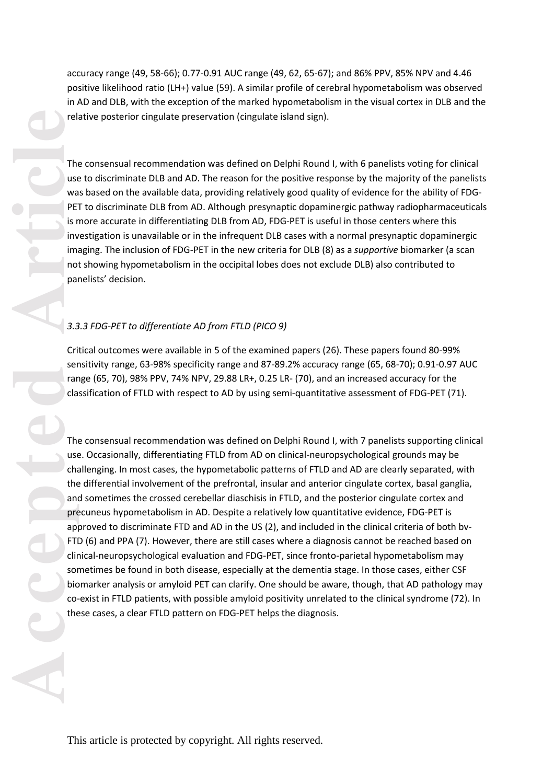accuracy range (49, 58 -66) ; 0.77 -0.91 AUC range (49, 62, 65 -67); and 86% PPV, 85% NPV and 4.46 positive likelihood ratio (LH+ ) value (59). A similar profile of cerebral hypometabolism was observed in AD and DLB, with the exception of the marked hypometabolism in the visual cortex in DLB and the relative posterior cingulate preservation (cingulate island sign) .

The consensual recommendation was defined on Delphi Round I, with 6 panelists voting for clinical use to discriminate DLB and AD. The reason for the positive response by the majority of the panelists was based on the available data, providing relatively good quality of evidence for the ability of FDG - PET to discriminate DLB from AD. Although presynaptic dopaminergic pathway radiopharmaceuticals is more accurate in differentiating DLB from AD , FDG -PET is useful in those centers where this investigation is unavailable or in the infrequent DLB cases with a normal presynaptic dopaminergic imaging. The inclusion of FDG -PET in the new criteria for DLB (8) as a *supportive* biomarker (a scan not showing hypometabolism in the occipital lobes does not exclude DLB) also contributed to panelists ' decision.

## *3.3.3 FDG -PET to differentiate AD from FTLD (PICO 9)*

Critical outcomes were available in 5 of the examined papers (26). These papers found 80 -99% sensitivity range, 63 -98% specificity range and 87 -89.2% accuracy range (65, 68 -70); 0.91 -0.97 AUC range (65, 70), 98% PPV, 74% NPV, 29.88 LR+, 0.25 LR - (70) , and an increased accuracy for the classification of FTLD with respect to AD by using semi-quantitative assessment of FDG-PET (71).

rel.<br>
The use<br>
wa PE is rive<br>
wa PE is in the use<br>
is in the predict of the state<br>
of the predict of the state<br>
of the predict of the contract of the contract of the contract of the contract of the contract of the contract The consensual recommendation was defined on Delphi Round I, with 7 panelists supporting clinical use. Occasionally, differentiating FTLD from AD on clinical-neuropsychological grounds may be challenging. In most cases, the hypometabolic pattern s of FT L D and AD are clearly separated, with the differential involvement of the prefrontal, insular and anterior cingulate cortex , basal ganglia, and sometimes the crossed cerebellar diaschisis in FT LD, and the posterior cingulate cortex and precuneus hypometabolism in AD. Despite a relatively low quantitative evidence, FDG -PET is approved to discriminate FTD and AD in the US (2), and included in the clinical criteria of both bv - FTD (6) and PPA (7). However, there are still cases where a diagnosis cannot be reached based on clinical -neuropsychological evaluation and FDG -PET , since fronto -parietal hypometabolism may sometimes be found in both disease, especially at the dementia stage. In those cases, either CSF biomarker analysis or amyloid PET can clarify. One should be aware, though, that AD pathology may co-exist in FTLD patients, with possible amyloid positivity unrelated to the clinical syndrome (72). In th ese cases, a clear FT L D pattern on FDG -PET helps the diagnosis .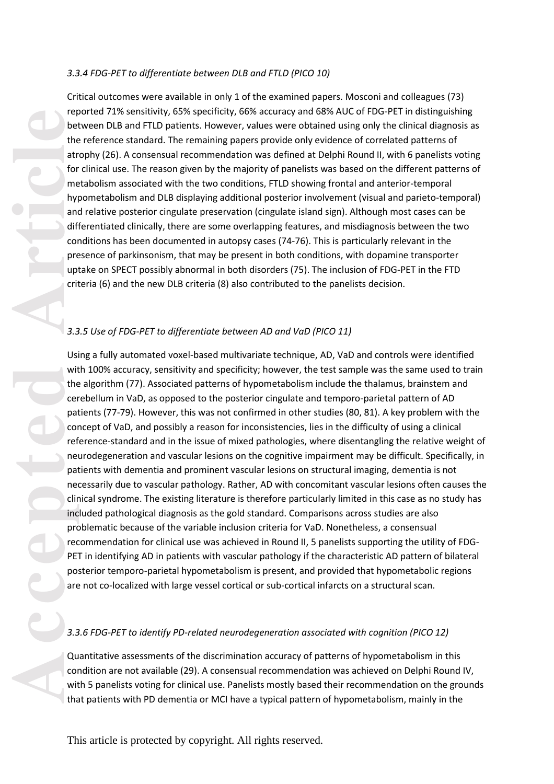## *3.3.4 FDG -PET to differentiate between DLB and FTLD (PICO 10)*

Critical outcomes were available in only 1 of the examined papers. Mosconi and colleagues (73) reported 71% sensitivity, 65% specificity, 66% accuracy and 68% AUC of FDG -PET in distinguishing between DLB and FTLD patients. However, values were obtained using only the clinical diagnosis as the reference standard. The remaining papers provide only evidence of correlated patterns of atrophy (26). A consensual recommendation was defined at Delphi Round II, with 6 panelists voting for clinical use. The reason given by the majority of panelists was based on the different patterns of metabolism associated with the two conditions , FT L D showing frontal and anterior -temporal hypometabolism and DLB displaying additional posterior involvement (visual and parieto -temporal) and relative posterior cingulate preservation (cingulate island sign). Although most cases can be differentiated clinically , there are some overlapping features , and misdiagnosis between the two condition s has been documented in autopsy cases (74 -76). This is particularly relevant in the presence of parkinsonism, that may be present in both conditions, with dopamine transporter uptake on SPECT possibly abnormal in both disorders (75). The inclusion of FDG -PET in the FTD criteria (6) and the new DLB criteria (8) also contributed to the panelists decision.

## *3.3.5 Use of FDG -PET to differentiate between AD and VaD (PICO 11)*

ret<br>
bet<br>
the atr<br>
article<br>
article<br>
article<br>
article<br>
article<br>
pred<br>
pred<br>
corref<br>
pred<br>
pred<br>
corref<br>
pred<br>
corref<br>
pred<br>
corref<br>
pred<br>
corref<br>
pred<br>
corref<br>
pred<br>
corref<br>
pred<br>
corref<br>
pred<br>
2.3.3<br>
<br>
3.3<br>
Usi the pred<br> Using a fully automated voxel -based multivariate technique, AD, VaD and controls were identified with 100% accuracy, sensitivity and specificity; however, the test sample was the same used to train the algorithm (77). Associated patterns of hypometabolism include the thalamus, brainstem and cerebellum in VaD, as opposed to the posterior cingulate and temporo -parietal pattern of AD patients (77 -79). However, this was not confirmed in other studies (80, 81). A key problem with the concept of VaD, and possibly a reason for inconsistencies, lies in the difficulty of using a clinical reference -standard and in the issue of mixed pathologies , where disentangling the relative weight of neurodegeneration and vascular lesions on the cognitive impairment may be difficult. Specifically, in patients with dementia and prominent vascular lesions on structural imaging, dementia is not necessarily due to vascular pathology. Rather, AD with concomitant vascular lesions often cause s the clinical syndrome. The existing literature is therefore particularly limited in this case as no study has included pathological diagnosis as the gold standard. Comparisons across studies are also problematic because of the variable inclusion criteria for VaD. Nonetheless, a consensual recommendation for clinical use was achieved in Round II, 5 panelists supporting the utility of FDG-PET in identifying AD in patients with vascular pathology if the characteristic AD pattern of bilateral posterior temporo -parietal hypometabolism is present, and provided that hypometabolic regions are not co -localized with large vessel cortical or sub -cortical infarcts on a structural scan.

## *3.3.6 FDG -PET to identify PD -related neurodegeneration associated with cognition (PICO 12)*

Quantitative assessments of the discrimination accuracy of patterns of hypometabolism in this condition are not available (29). A consensual recommendation was achieved on Delphi Round IV, with 5 panelists voting for clinical use. Panelists mostly based their recommendation on the grounds that patients with PD dementia or MCI have a typical pattern of hypometabolism, mainly in the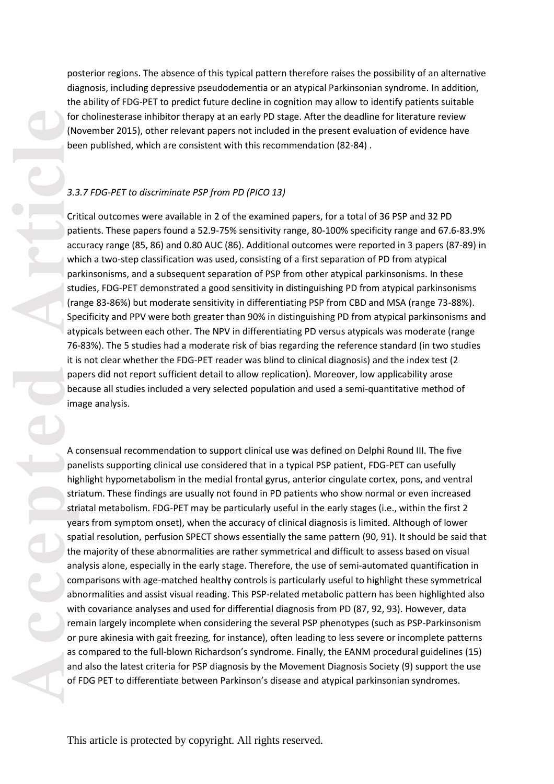posterior regions. The absence of this typical pattern therefore raises the possibility of an alternative diagnosis, including depressive pseudodementia or an atypical Parkinsonian syndrome. In addition, the ability of FDG -PET to predict future decline in cognition may allow to identify patients suitable for cholinesterase inhibitor therapy at an early PD stage. After the deadline for literature review (November 2015), other relevant papers not included in the present evaluation of evidence have been published, which are consistent with this recommendation (82 -84) .

# *3.3.7 FDG -PET to discriminate PSP from PD (PICO 13)*

Critical outcomes were available in 2 of the examined papers, for a total of 36 PSP and 32 PD patients. These papers found a 52.9 -75% sensitivity range, 80 -100% specificity range and 67.6 -83.9% accuracy range (85, 86) and 0.80 AUC (86) . Additional outcomes were reported in 3 papers (87 -89) in which a two -step classification was used, consisting of a first separation of PD from atypical parkinsonisms, and a subsequent separation of PSP from other atypical parkinsonisms. In these studies, FDG -PET demonstrated a good sensitivity in distinguishing PD from atypical parkinsonisms (range 83 -86%) but moderate sensitivity in differentiating PSP from CBD and MSA (range 73 -88%). Specificity and PPV were both greater than 90% in distinguishing PD from atypical parkinsonisms and atypicals between each other. The NPV in differentiating PD versus atypicals was moderate (range 76 -83%). The 5 studies had a moderate risk of bias regarding the reference standard (in two studies it is not clear whether the FDG-PET reader was blind to clinical diagnosis) and the index test (2 papers did not report sufficient detail to allow replication). Moreover, low applicability arose because all studies included a very selected population and used a semi -quantitative method of image analysis.

A consensual recommendation to support clinical use was defined on Delphi Round III. The five panelists supporting clinical use considered that in a typical PSP patient, FDG -PET can usefully highlight hypometabolism in the medial frontal gyrus, anterior cingulate cortex, pons, and ventral striatum. These findings are usually not found in PD patients who show normal or even increased striatal metabolism. FDG -PET may be particularly useful in the early stages (i.e., within the first 2 years from symptom onset), when the accuracy of clinical diagnosis is limited. Although of lower spatial resolution, perfusion SPECT shows essentially the same pattern (90, 91). It should be said that the majority of these abnormalities are rather symmetrical and difficult to assess based on visual analysis alone, especially in the early stage. Therefore, the use of sem i -automated quantification in comparison s with age -matched healthy controls is particularly useful to highlight these symmetrical abnormalities and assist visual reading. This PSP -related metabolic pattern has been highlighted also with covariance analys es and used for differential diagnosis from PD (87, 92, 93). However, data remain largely incomplete when considering the several PSP phenotypes (such as PSP -Parkinsonism or pure akinesia with gait freezing, for instance), often leading to less severe or incomplete patterns as compared to the full -blown Richardson's syndrome. Finally, the EANM procedural guidelines (15) and also the latest criteria for PSP diagnosis by the Movement Diagnosis Society (9) support the use of FDG PET to differentiate between Parkinson's disease and atypical parkinsonian syndromes.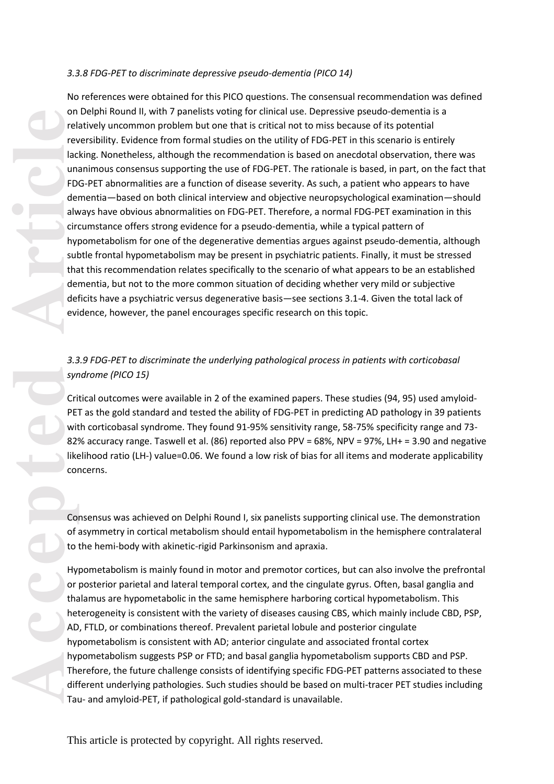## *3.3.8 FDG -PET to discriminate depressive pseudo -dementia (PICO 14)*

No references were obtained for this PICO questions. The consensual recommendation was defined on Delphi Round II , with 7 panelists voting for clinical use. Depressive pseudo -dementia is a relatively uncommon problem but one that is critical not to miss because of its potential reversibility. Evidence from formal studies on the utility of FDG -PET in this scenario is entirely lacking. Nonetheless, although the recommendation is based on anecdotal observation, there was unanimous consensus supporting the use of FDG -PET. The rationale is based, in part, on the fact that FDG -PET abnormalities are a function of disease severity. As such, a patient who appears to have dementia —based on both clinical interview and objective neuropsychological examination —should always have obvious abnormalities on FDG-PET. Therefore, a normal FDG-PET examination in this circumstance offers strong evidence for a pseudo -dementia, while a typical pattern of hypometabolism for one of the degenerative dementias argues against pseudo -dementia, although subtle frontal hypometabolism may be present in psychiatric patients. Finally, it must be stressed that this recommendation relates specifically to the scenario of what appears to be an established dementia, but not to the more common situation of deciding whether very mild or subjective deficits have a psychiatric versus degenerative basis —see sections 3.1 -4. Given the total lack of evidence, however, the panel encourages specific research on this topic.

## *3.3.9 FDG -PET to discriminate the underlying pathological process in patients with corticobasal syndrome (PICO 15)*

Critical outcomes were available in 2 of the examined papers. These studies (94, 95) used amyloid - PET as the gold standard and tested the ability of FDG-PET in predicting AD pathology in 39 patients with corticobasal syndrome. They found 91-95% sensitivity range, 58-75% specificity range and 73-82% accuracy range. Taswell et al. (86) reported also PPV = 68%, NPV = 97%, LH+ = 3.90 and negative likelihood ratio (LH -) value =0.06. We found a low risk of bias for all items and moderate applicability concerns.

Consensus was achieved on Delphi Round I, six panelists supporting clinical use. The demonstration of asymmetry in cortical metabolism should entail hypometabolism in the hemisphere contralateral to the hemi-body with akinetic-rigid Parkinsonism and apraxia.

Hypometabolism is mainly found in motor and premotor cortices, but can also involve the prefrontal or posterior parietal and lateral temporal cortex, and the cingulate gyrus. Often, basal ganglia and thalamus are hypometabolic in the same hemisphere harboring cortical hypometabolism. This heterogeneity is consistent with the variety of diseases causing CBS, which mainly include CBD, PSP, AD, FTLD, or combinations thereof. Prevalent parietal lobule and posterior cingulate hypometabolism is consistent with AD ; anterior cingulate and associated frontal cortex hypometabolism suggests PSP or FTD; and basal ganglia hypometabolism supports CBD and PSP. Therefore, the future challenge consists of identifying specific FDG -PET patterns associated to these different underlying pathologies. Such studies should be based on multi -tracer PET studies including Tau - and amyloid -PET, if pathological gold -standard is unavailable.

on rel.<br>
Text lace<br>
Hace unit FD der alw circle<br>
Hace unit for sult der evidence video der evidence video der evidence video der evideo der alw circle<br>
Text state der evideo der evideo der evideo der evideo der evideo der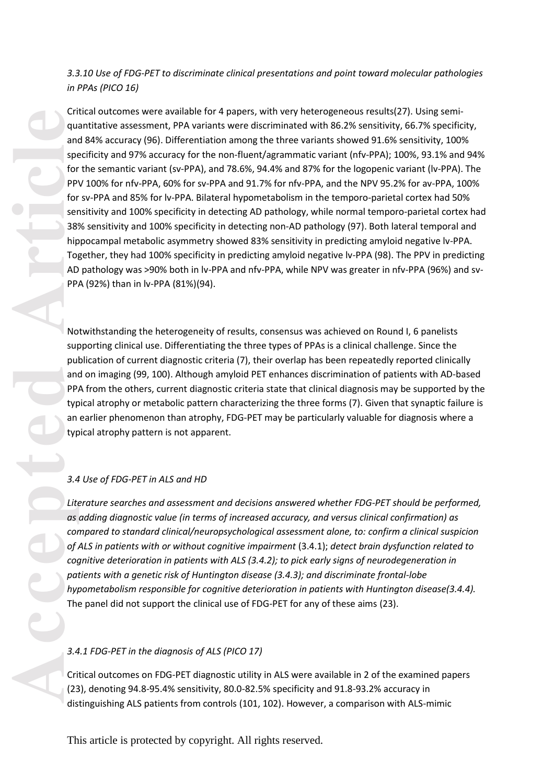## *3.3.10 Use of FDG -PET to discriminate clinical presentations and point toward molecular pathologies in PPAs (PICO 16)*

Example to the service of the service of the service of the service of the service of the service of the service of the service of the service of the service of the service of the service of the service of the service of t Critical outcomes were available for 4 papers, with very heterogeneous result s(27). Using semi quantitative assessment, PPA variants were discriminated with 86.2% sensitivity, 66.7% specificity, and 84% accuracy (96) . Differentiation among the t hree variants showed 91.6% sensitivity, 100% specificity and 97% accuracy for the non-fluent/agrammatic variant (nfv-PPA); 100%, 93.1% and 94% for the semantic variant (sv-PPA), and 78.6%, 94.4% and 87% for the logopenic variant (lv-PPA). The PPV 100% for nfv -PPA, 60% for sv -PPA and 91.7% for nfv -PPA , and the NPV 95.2% for av -PPA, 100% for sv-PPA and 85% for lv-PPA. Bilateral hypometabolism in the temporo-parietal cortex had 50% sensitivity and 100% specificity in detecting AD pathology, while normal temporo -parietal cortex had 38% sensitivity and 100% specificity in detecting non -AD pathology (97). Both lateral temporal and hippocampal metabolic asymmetry showed 83% sensitivity in predicting amyloid negative lv -PPA. Together, they had 100% specificity in predicting amyloid negative lv -PPA (98). The PPV in predicting AD pathology was >90% both in lv-PPA and nfv-PPA, while NPV was greater in nfv-PPA (96%) and sv-PPA (92%) than in lv -PPA (81%)(94).

Notwithstanding the heterogeneity of results, consensus was achieved on Round I, 6 panelists supporting clinical use. Differentiating the three types of PPAs is a clinical challenge. Since the publication of current diagnostic criteria (7), their overlap has been repeatedly reported clinically and on imaging (99, 100). Although amyloid PET enhances discrimination of patients with AD -based PPA from the others, current diagnostic criteria state that clinical diagnosis may be supported by the typical atrophy or metabolic pattern characterizing the three forms (7). Given that synaptic failure is an earlier phenomenon than atrophy, FDG-PET may be particularly valuable for diagnosis where a typical atrophy pattern is not apparent.

## *3.4 Use of FDG -PET in ALS and HD*

*Literature searches and assessment and decisions answered whether FDG -PET should be performed, as adding diagnostic value (in terms of increased accuracy, and versus clinical confirmation) as compared to standard clinical/neuropsychological assessment alone, to: confirm a clinical suspicion of ALS in patients with or without cognitive impairment* (3.4.1); *detect brain dysfunction related to cognitive deterioration in patients with ALS (3.4.2); to pick early signs of neurodegeneration in patients with a genetic risk of Huntington disease (3.4.3); and discriminate frontal -lobe hypometabolism responsible for cognitive deterioration in patients with Huntington disease(3.4.4).* The panel did not support the clinical use of FDG -PET for any of these aims (23) .

#### *3.4.1 FDG -PET in the diagnosis of ALS (PICO 17)*

Critical outcomes on FDG -PET diagnostic utility in ALS were available in 2 of the examined papers (23), denoting 94.8 -95.4% sensitivity, 80.0 -82.5% specificity and 91.8 -93.2% accuracy in distinguishing ALS patients from controls (101, 102). However, a comparison with ALS -mimic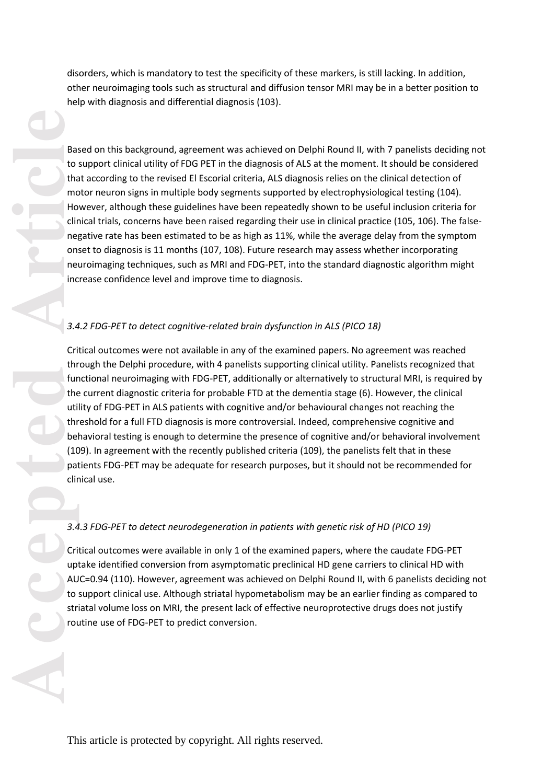disorders, which is mandatory to test the specificity of these markers, is still lacking. In addition, other neuroimaging tools such as structural and diffusion tensor MRI may be in a better position to help with diagnosis and differential diagnosis (103).

Based on this background, agreement was achieved on Delphi Round II, with 7 panelists deciding not to support clinical utility of FDG PET in the diagnosis of ALS at the moment. It should be considered that according to the revised El Escorial criteria, ALS diagnosis relies on the clinical detection of motor neuron signs in multiple body segments supported by electrophysiological testing (104). However, although these guidelines have been repeatedly shown to be useful inclusion criteria for clinical trials, concerns have been raised regarding their use in clinical practice (105, 106) . The false negative rate has been estimated to be as high as 1 1%, while the average delay from the symptom onset to diagnosis is 11 months (107, 108). Future research may assess whether incorporating neuroimaging techniques, such as MRI and FDG -PET, into the standard diagnostic algorithm might increase confidence level and improve time to diagnosis .

# *3.4.2 FDG -PET to detect cognitive -related brain dysfunction in ALS (PICO 18)*

Critical outcomes were not available in any of the examined papers. No agreement was reached through the Delphi procedure, with 4 panelists supporting clinical utility. Panelists recognized that functional neuroimaging with FDG-PET, additionally or alternatively to structural MRI, is required by the current diagnostic criteria for probable FTD at the dementia stage (6). However, the clinical utility of FDG -PET in ALS patients with cognitive and/or behavioural changes not reaching the threshold for a full FTD diagnosis is more controversial. Indeed, comprehensive cognitive and behavioral testing is enough to determine the presence of cognitive and/or behavioral involvement (109). In agreement with the recently published criteria (109), the panelists felt that in these patients FDG -PET may be adequate for research purposes, but it should not be recommended for clinical use .

### *3.4.3 FDG -PET to detect neurodegeneration in patients with genetic risk of HD (PICO 19)*

Critical outcomes were available in only 1 of the examined paper s, where the caudate FDG -PET uptake identified conversion from asymptomatic preclinical HD gene carriers to clinical HD with AUC=0.94 (110). However, agreement was achieved on Delphi Round II, with 6 panelists deciding not to support clinical use. Although striatal hypometabolism may be an earlier finding as compared to striatal volume loss on MRI, the present lack of effective neuroprotective drugs does not justify routine use of FDG -PET to predict conversion .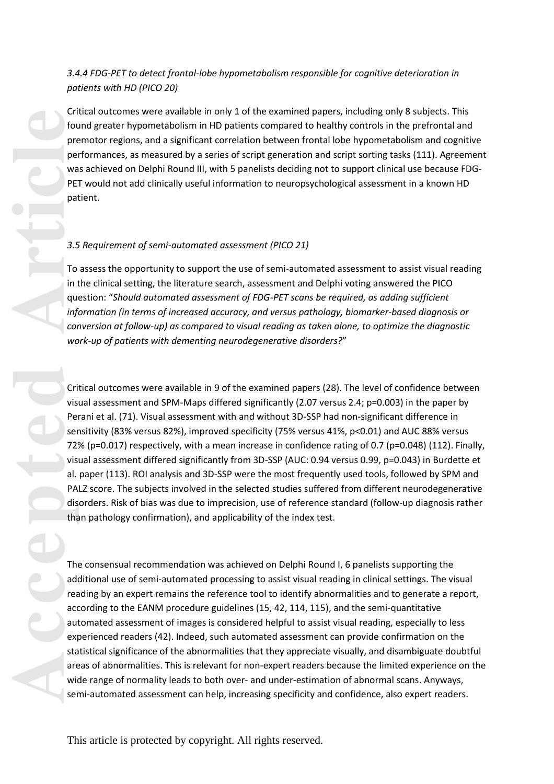# *3.4.4 FDG -PET to detect frontal -lobe hypometabolism responsible for cognitive deterioration in patients with HD (PICO 20)*

Critical outcomes were available in only 1 of the examined papers, including only 8 subjects. This found greater hypometabolism in HD patients compared to healthy controls in the prefrontal and premotor regions, and a significant correlation between frontal lobe hypometabolism and cognitive performances, as measured by a series of script generation and script sorting tasks (111). Agreement was achieved on Delphi Round III, with 5 panelists deciding not to support clinical use because FDG-PET would not add clinically useful information to neuropsychological assessment in a known HD patient .

# *3.5 Requirement of semi -automated assessment (PICO 21)*

To assess the opportunity to support the use of semi-automated assessment to assist visual reading in the clinical setting, the literature search, assessment and Delphi voting answered the PICO question: "*Should automated assessment of FDG -PET scans be required, as adding sufficient information (in terms of increased accuracy, and versus pathology, biomarker -based diagnosis or conversion at follow -up) as compared to visual reading as taken alone, to optimize the diagnostic work -up of patients with dementing neurodegenerative disorders?* "

Critical outcomes were available in 9 of the examined papers (28). The level of confidence between visual assessment and SPM -Maps differed significantly (2.07 versus 2.4; p=0.003) in the paper by Perani et al. (71). Visual assessment with and without 3D -SSP had non -significant difference in sensitivity (83% versus 82%), improved specificity (75% versus 41%, p<0.01) and AUC 88% versus 72% (p=0.017) respectively, with a mean increase in confidence rating of 0.7 (p=0.048) (112). Finally, visual assessment differed significantly from 3D -SSP (AUC: 0.94 versus 0.99, p=0.043) in Burdette et al. paper (113). ROI analysis and 3D -SSP were the most frequently used tools, followed by SPM and PALZ score. The subjects involved in the selected studies suffered from different neurodegenerative disorders. Risk of bias was due to imprecision, use of reference standard (follow -up diagnosis rather than pathology confirmation), and applicability of the index test.

The consensual recommendation was achieved on Delphi Round I, 6 panelists supporting the additional use of semi-automated processing to assist visual reading in clinical settings. The visual reading by an expert remains the reference tool to identify abnormalities and to generate a report, according to the EANM procedure guidelines (15, 42, 114, 115), and the semi -quantitative automated assessment of images is considered helpful to assist visual reading, especially to less experienced readers (42). Indeed, such automated assessment can provide confirmation on the statistical significance of the abnormalities that they appreciate visually, and disambiguate doubtful areas of abnormalities. This is relevant for non -expert readers because the limited experience on the wide range of normality leads to both over- and under-estimation of abnormal scans. Anyways, semi -automated assessment can help, increasing specificity and confidence, also expert readers.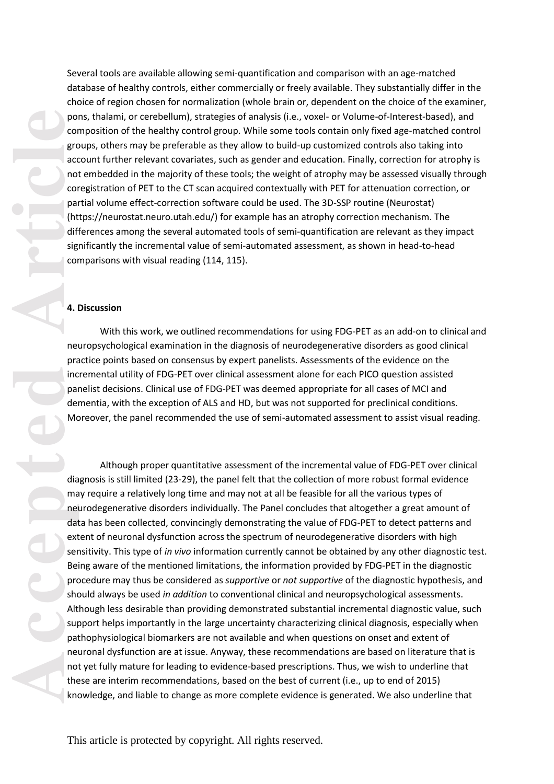Several tools are available allowing semi-quantification and comparison with an age-matched database of healthy controls, either commercially or freely available. They substantially differ in the choice of region chosen for normalization (whole brain or, dependent on the choice of the examiner, pons, thalami, or cerebellum), strategies of analysis (i.e., voxel - or Volume -of -Interest -based), and composition of the healthy control group. While some tools contain only fixed age -matched control groups, others may be preferable as they allow to build -up customized controls also taking into account further relevant covariates, such as gender and education. Finally, correction for atrophy is not embedded in the majority of these tools; the weight of atrophy may be assessed visually through coregistration of PET to the CT scan acquired contextually with PET for attenuation correction, or partial volume effect -correction software could be used. The 3D -SSP routine (Neurostat) (https://neurostat.neuro.utah.edu/) for example has an atrophy correction mechanism. The differences among the several automated tools of semi -quantification are relevant as they impact significantly the incremental value of semi-automated assessment, as shown in head-to-head comparisons with visual reading (114, 115).

#### **4. Discussion**

With this work, we outlined recommendations for using FDG -PET as an add -on to clinical and neuropsychological examination in the diagnosis of neurodegenerative disorders as good clinical practice points based on consensus by expert panelists. Assessment s of the evidence on the incremental utility of FDG -PET over clinical assessment alone for each PICO question assisted panelist decisions. Clinical use of FDG-PET was deemed appropriate for all cases of MCI and dementia, with the exception of ALS and HD , but was not supported for preclinical conditions. Moreover, the panel recommended the use of semi -automated assessment to assist visual reading.

Although proper quantitative assessment of the incremental value of FDG-PET over clinical diagnosis is still limited (23 -29), the panel felt that the collection of more robust formal evidence may require a relatively long time and may not at all be feasible for all the various types of neurodegenerative disorders individually. The Panel concludes that altogether a great amount of data has been collected, convincingly demonstrating the value of FDG-PET to detect patterns and extent of neuronal dysfunction across the spectrum of neurodegenerative disorders with high sensitivity. This type of *in vivo* information currently cannot be obtained by any other diagnostic test. Being aware of the mentioned limitations, the information provided by FDG - PET in the diagnostic procedure may thus be considered as *supportive* or *not supportive* of the diagnostic hypothesis, and should always be used *in addition* to conventional clinical and neuropsychological assessment s. Although less desirable than providing demonstrated substantial incremental diagnostic value, such support helps importantly in the large uncertainty characterizing clinical diagnosis, especially when pathophysiological biomarkers are not available and when question s on onset and extent of neuronal dysfunction are at issue. Anyway, these recommendations are based on literature that is not yet fully mature for leading to evidence -based prescriptions. Thus, we wish to underline that these are interim recommendations, based on the best of current (i.e., up to end of 2015) knowledge, and liable to change as more complete evidence is generated. We also underline that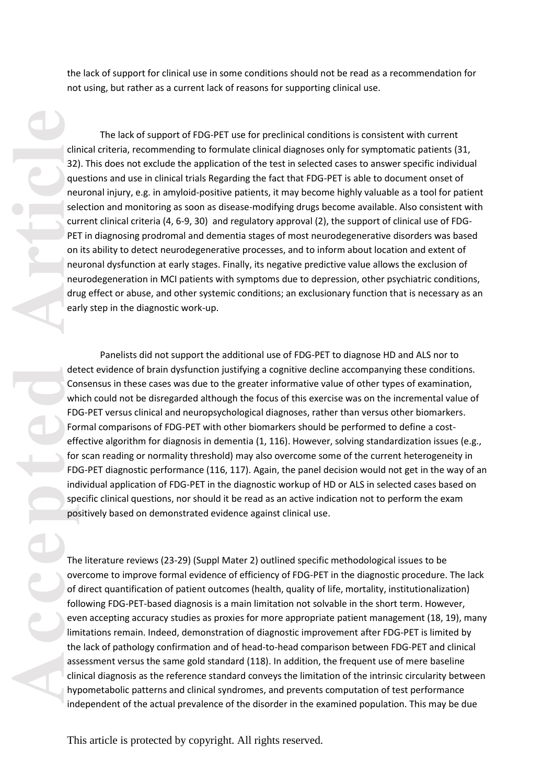the lack of support for clinical use in some conditions should not be read as a recommendation for not using, but rather as a current lack of reasons for supporting clinical use.

The lack of support of FDG -PET use for preclinical conditions is consistent with current clinical criteria, recommending to formulate clinical diagnoses only for symptomatic patients (31, 32). This does not exclude the application of the test in selected cases to answer specific individual questions and use in clinical trials Regarding the fact that FDG -PET is able to document onset of neuronal injury, e.g. in amyloid-positive patients, it may become highly valuable as a tool for patient selection and monitoring as soon as disease -modifying drugs become available. Also consistent with current clinical criteria (4, 6 -9, 30) and regulatory approval (2), the support of clinical use of FDG - PET in diagnosing prodromal and dementia stages of most neurodegenerative disorders was based on its ability to detect neurodegenerative processes, and to inform about location and extent of neuronal dysfunction at early stages. Finally, its negative predictive value allows the exclusion of neurodegeneration in MCI patients with symptoms due to depression, other psychiatric conditions, drug effect or abuse, and other systemic conditions; an exclusionary function that is necessary as an early step in the diagnostic work -up.

direction<br>
and the completed<br>
articles on the det<br>
on the det<br>
on the det<br>
on the point<br>
of the point<br>
of the point<br>
of the point<br>
of the sas<br>
of the sas<br>
of the sas<br>
of the sas<br>
of the sas<br>
of the sas<br>
of the sas<br>
of the Panelists did not support the additional use of FDG -PET to diagnose HD and ALS nor to detect evidence of brain dysfunction justifying a cognitive decline accompanying these conditions. Consensus in these cases was due to the greater informative value of other types of examination, which could not be disregarded although the focus of this exercise was on the incremental value of FDG -PET versus clinical and neuropsychological diagnoses, rather than versus other biomarkers. Formal comparison s of FDG -PET with other biomarkers should be performed to define a cost effective algorithm for diagnosis in dementia (1, 116). However, solving standardization issues (e.g., for scan reading or normality threshold) may also overcome some of the current heterogeneity in FDG-PET diagnostic performance (116, 117). Again, the panel decision would not get in the way of an individual application of FDG -PET in the diagnostic workup of HD or ALS in selected cases based on specific clinical questions, nor should it be read as an active indication not to perform the exam positively based on demonstrated evidence against clinical use .

The literature reviews (23 -29) (Suppl Mater 2) outlined specific methodological issues to be overcome to improve formal evidence of efficiency of FDG -PET in the diagnostic procedure. The lack of direct quantification of patient outcomes (health, quality of life, mortality, institutionalization) following FDG -PET -based diagnosis is a main limitation not solvable in the short term. However, even accepting accuracy studies as proxies for more appropriate patient management (18, 19), many limitations remain. Indeed, demonstration of diagnostic improvement after FDG -PET is limited by the lack of pathology confirmation and of head -to -head comparison between FDG -PET and clinical assessment versus the same gold standard (118). In addition, the frequent use of mere baseline clinical diagnosis as the reference standard conveys the limitation of the intrinsic circularity between hypometabolic pattern s and clinical syndromes, and prevents computation of test performance independent o f the actual prevalence of the disorder in the examined population. This may be due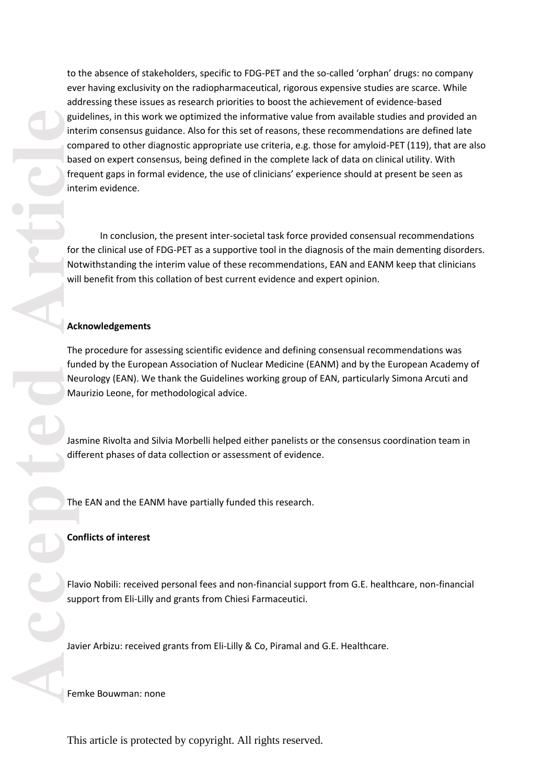accepted **Accepted Accepted Accepted Accepted Accepted Accepted Accepted Accepted Accepted Accepted Accepted Accepted Accepted Accepted Accepted Accepted Accepted Accepted Accepted Acc** to the absence of stakeholders, specific to FDG -PET and the so -called 'orphan' drugs: no company ever having exclusivity on the radiopharmaceutical, rigorous expensive studies are scarce. While addressing these issues as research priorities to boost the achievement of evidence -based guidelines, in this work we optimized the informative value from available studies and provided an interim consensus guidance. Also for this set of reasons, these recommendations are defined late compared to other diagnostic appropriate use criteria, e.g. those for amyloid -PET (119), that are also based on expert consensus, being defined in the complete lack of data on clinical utility. With frequent gaps in formal evidence, the use of clinicians' experience should at present be seen as interim evidence.

In conclusion, the present inter-societal task force provided consensual recommendations for the clinical use of FDG -PET as a supportive tool in the diagnosis of the main dementing disorders. Notwithstanding the interim value of these recommendations , EAN and EANM keep that clinicians will benefit from this collation of best current evidence and expert opinion .

#### **Acknowledgements**

The procedure for assessing scientific evidence and defining consensual recommendations was funded by the European Association of Nuclear Medicine (EANM) and by the European Academy of Neurology (EAN). We thank the Guidelines working group of EAN, particularly Simona Arcuti and Maurizio Leone, for methodological advice.

Jasmine Rivolta and Silvia Morbelli helped either panelists or the consensus coordination team in different phases of data collection or assessment of evidence.

The EAN and the EANM have partially funded this research.

#### **Conflicts of interest**

Flavio Nobili: received personal fees and non-financial support from G.E. healthcare, non-financial support from Eli -Lilly and grants from Chiesi Farmaceutici.

Javier Arbizu: received grants from Eli -Lilly & Co, Piramal and G.E. Healthcare.

Femke Bouwman: none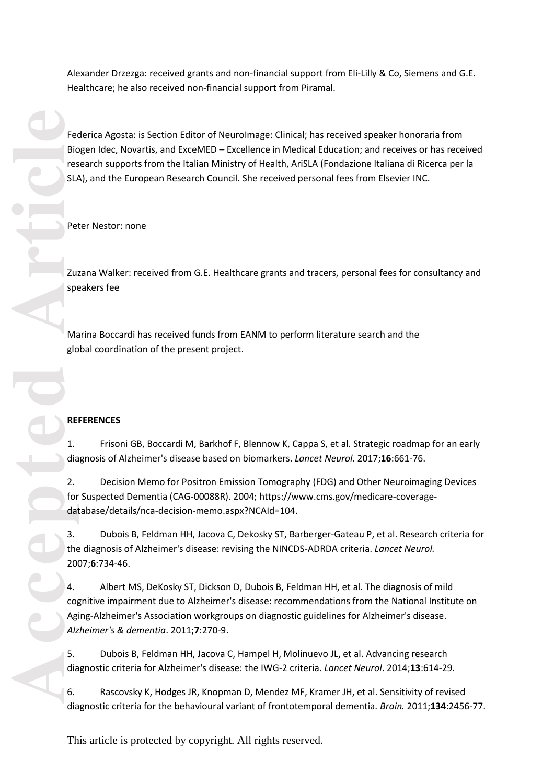Alexander Drzezga: received grants and non -financial support from Eli -Lilly & Co, Siemens and G.E. Healthcare; he also received non -financial support from Piramal.

Fece Bic<br>
Fece Bic<br>
SLA<br>
Pet<br>
Pet<br>
Pet<br>
20<br>
Pet<br>
20<br>
Agio<br>
2.<br>
dat<br>
3.<br>
the glo<br>
4.<br>
20<br>
Agis<br>
Article<br>
4.<br>
20<br>
Article<br>
4.<br>
20<br>
Article<br>
4.<br>
3.<br>
5.<br>
4.<br>
5.<br>
4.<br>
5.<br>
4.<br>
5.<br>
4.<br>
5.<br>
5.<br>
4.<br>
5.<br>
4.<br>
5.<br>
5.<br>
5.<br>
5.<br>
4.<br>
5.<br> Federica Agosta: is Section Editor of NeuroImage: Clinical; has received speaker honoraria from Biogen Idec, Novartis, and ExceMED – Excellence in Medical Education; and receives or has received research supports from the Italian Ministry of Health, AriSLA (Fondazione Italiana di Ricerca per la SLA), and the European Research Council. She received personal fees from Elsevier INC.

Peter Nestor: none

Zuzana Walker: received from G.E. Healthcare grants and tracers, personal fees for consultancy and speakers fee

Marina Boccardi has received funds from EANM to perform literature search and the global coordination of the present project .

### **REFERENCES**

1. Frisoni GB, Boccardi M, Barkhof F, Blennow K, Cappa S, et al. Strategic roadmap for an early diagnosis of Alzheimer's disease based on biomarkers. *Lancet Neurol*. 2017;**16**:661 -76.

2. Decision Memo for Positron Emission Tomography (FDG) and Other Neuroimaging Devices for Suspected Dementia (CAG -00088R). 2004; https://www.cms.gov/medicare -coverage database/details/nca -decision -memo.aspx?NCAId=104 .

3. Dubois B, Feldman HH, Jacova C, Dekosky ST, Barberger -Gateau P, et al. Research criteria for the diagnosis of Alzheimer's disease: revising the NINCDS -ADRDA criteria. *Lancet Neurol .* 2007; **6**:734 -46.

4. Albert MS, DeKosky ST, Dickson D, Dubois B, Feldman HH, et al. The diagnosis of mild cognitive impairment due to Alzheimer's disease: recommendations from the National Institute on Aging -Alzheimer's Association workgroups on diagnostic guidelines for Alzheimer's disease. *Alzheimer's & dementia*. 2011; **7**:270 -9.

5. Dubois B, Feldman HH, Jacova C, Hampel H, Molinuevo JL, et al. Advancing research diagnostic criteria for Alzheimer's disease: the IWG -2 criteria. *Lancet Neurol*. 2014;**13**:614 -29.

6. Rascovsky K, Hodges JR, Knopman D, Mendez MF, Kramer JH, et al. Sensitivity of revised diagnostic criteria for the behavioural variant of frontotemporal dementia. *Brain.* 2011;**134**:2456 -77.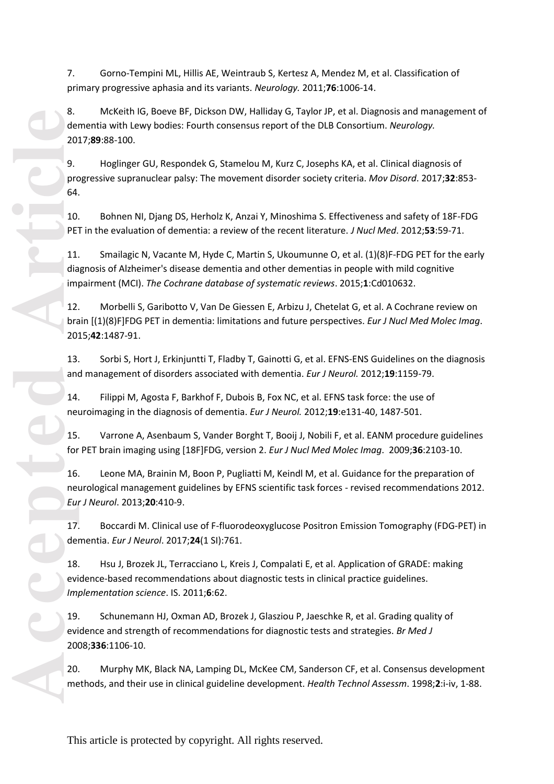7. Gorno -Tempini ML, Hillis AE, Weintraub S, Kertesz A, Mendez M, et al. Classification of primary progressive aphasia and its variants. *Neurology.* 2011;**76**:1006 -14.

8. McKeith IG, Boeve BF, Dickson DW, Halliday G, Taylor JP, et al. Diagnosis and management of dementia with Lewy bodies: Fourth consensus report of the DLB Consortium. *Neurology.* 2017;**89**:88 -100.

9. Hoglinger GU, Respondek G, Stamelou M, Kurz C, Josephs KA, et al. Clinical diagnosis of progressive supranuclear palsy: The movement disorder society criteria. *Mov Disord*. 2017;**32**:853 - 64.

10. Bohnen NI, Djang DS, Herholz K, Anzai Y, Minoshima S. Effectiveness and safety of 18F -FDG PET in the evaluation of dementia: a review of the recent literature. *J Nucl Med*. 2012;**53**:59 -71.

11 . Smailagic N, Vacante M, Hyde C, Martin S, Ukoumunne O, et al. (1)(8)F -FDG PET for the early diagnosis of Alzheimer's disease dementia and other dementias in people with mild cognitive impairment (MCI). *The Cochrane database of systematic reviews*. 2015; **1**:Cd010632.

12 . Morbelli S, Garibotto V, Van De Giessen E, Arbizu J, Chetelat G, et al. A Cochrane review on brain [(1)(8)F]FDG PET in dementia: limitations and future perspectives. *Eur J Nucl Med Molec Imag*. 2015;**42**:1487 -91.

13 . Sorbi S, Hort J, Erkinjuntti T, Fladby T, Gainotti G, et al. EFNS -ENS Guidelines on the diagnosis and management of disorders associated with dementia. *Eur J Neurol.* 2012;**19**:1159 -79.

14 . Filippi M, Agosta F, Barkhof F, Dubois B, Fox NC, et al. EFNS task force: the use of neuroimaging in the diagnosis of dementia. *Eur J Neurol.* 2012;**19**:e131 -40, 1487 -501.

15 . Varrone A, Asenbaum S, Vander Borght T, Booij J, Nobili F, et al. EANM procedure guidelines for PET brain imaging using [18F]FDG, version 2. *Eur J Nucl Med Molec Imag*. 2009;**36**:2103 -10.

16 . Leone MA, Brainin M, Boon P, Pugliatti M, Keindl M, et al. Guidance for the preparation of neurological management guidelines by EFNS scientific task forces - revised recommendations 2012. *Eur J Neurol*. 2013;**20**:410 -9.

17 . Boccardi M. Clinical use of F -fluorodeoxyglucose Positron Emission Tomography (FDG -PET) in dementia. *Eur J Neurol*. 2017;**24**(1 SI):761.

18 . Hsu J, Brozek JL, Terracciano L, Kreis J, Compalati E, et al. Application of GRADE: making evidence -based recommendations about diagnostic tests in clinical practice guidelines. *Implementation science* . IS. 2011; **6**:62.

19 . Schunemann HJ, Oxman AD, Brozek J, Glasziou P, Jaeschke R, et al. Grading quality of evidence and strength of recommendations for diagnostic tests and strategies. *Br Med J*  2008;**336**:1106 -10.

2 0 . Murphy MK, Black NA, Lamping DL, McKee CM, Sanderson CF, et al. Consensus development methods, and their use in clinical guideline development. Health Technol Assessm. 1998;2:i-iv, 1-88.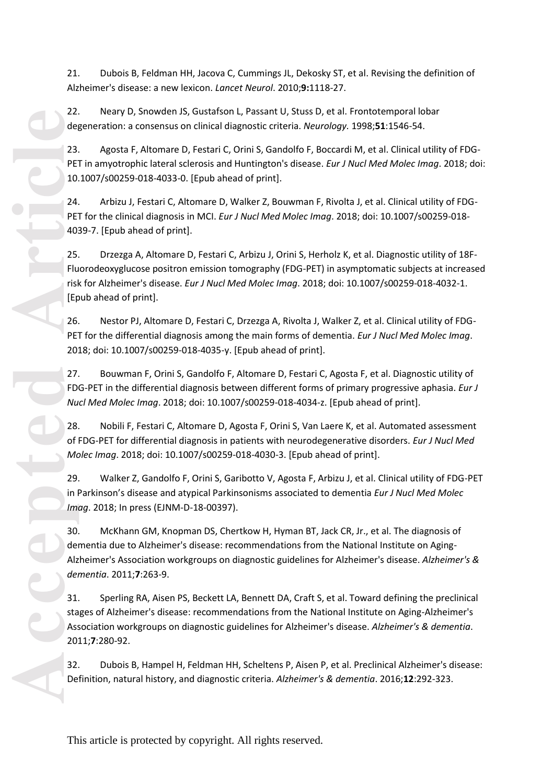21 . Dubois B, Feldman HH, Jacova C, Cummings JL, Dekosky ST, et al. Revising the definition of Alzheimer's disease: a new lexicon. *Lancet Neurol*. 2010;**9:**1118 -27.

22 . Neary D, Snowden JS, Gustafson L, Passant U, Stuss D, et al. Frontotemporal lobar degeneration: a consensus on clinical diagnostic criteria. *Neurology.* 1998 ;**51**:1546 -54.

23. Agosta F, Altomare D, Festari C, Orini S, Gandolfo F, Boccardi M, et al. Clinical utility of FDG - PET in amyotrophic lateral sclerosis and Huntington's disease. *Eur J Nucl Med Molec Imag*. 2018; doi: 10.1007/s00259 -018 -4033 -0. [Epub ahead of print] .

24. Arbizu J, Festari C, Altomare D, Walker Z, Bouwman F, Rivolta J, et al. Clinical utility of FDG - PET for the clinical diagnosis in MCI. *Eur J Nucl Med Molec Imag*. 2018; doi: 10.1007/s00259-018-4039 -7. [Epub ahead of print] .

25. Drzezga A, Altomare D, Festari C, Arbizu J, Orini S, Herholz K, et al. Diagnostic utility of 18F - Fluorodeoxyglucose positron emission tomography (FDG -PET) in asymptomatic subjects at increased risk for Alzheimer's disease. *Eur J Nucl Med Molec Imag*. 2018; doi: 10.1007/s00259-018-4032-1. [Epub ahead of print] .

26. Nestor PJ, Altomare D, Festari C, Drzezga A, Rivolta J, Walker Z, et al. Clinical utility of FDG - PET for the differential diagnosis among the main forms of dementia. *Eur J Nucl Med Molec Imag*. 2018; doi: 10.1007/s00259-018-4035-y. [Epub ahead of print].

27. Bouwman F, Orini S, Gandolfo F, Altomare D, Festari C, Agosta F, et al. Diagnostic utility of FDG -PET in the differential diagnosis between different forms of primary progressive aphasia. *Eur J*  Nucl Med Molec Imag. 2018; doi: 10.1007/s00259-018-4034-z. [Epub ahead of print].

28. Nobili F, Festari C, Altomare D, Agosta F, Orini S, Van Laere K, et al. Automated assessment of FDG -PET for differential diagnosis in patients with neurodegenerative disorders. *Eur J Nucl Med Molec Imag*. 2018; doi: 10.1007/s00259 -018 -4030 -3. [Epub ahead of print].

29. Walker Z, Gandolfo F, Orini S, Garibotto V, Agosta F, Arbizu J, et al. Clinical utility of FDG -PET in Parkinson's disease and atypical Parkinsonisms associated to dementia *Eur J Nucl Med Molec Imag*. 2018; In press (EJNM-D-18-00397).

30. McKhann GM, Knopman DS, Chertkow H, Hyman BT, Jack CR, Jr., et al. The diagnosis of dementia due to Alzheimer's disease: recommendations from the National Institute on Aging - Alzheimer's Association workgroups on diagnostic guidelines for Alzheimer's disease. *Alzheimer's & dementia*. 2011; **7**:263 -9.

31. Sperling RA, Aisen PS, Beckett LA, Bennett DA, Craft S, et al. Toward defining the preclinical stages of Alzheimer's disease: recommendations from the National Institute on Aging -Alzheimer's Association workgroups on diagnostic guidelines for Alzheimer's disease. *Alzheimer's & dementia*. 2011; **7**:280 -92.

32 . Dubois B, Hampel H, Feldman HH, Scheltens P, Aisen P, et al. Preclinical Alzheimer's disease: Definition, natural history, and diagnostic criteria. *Alzheimer's & dementia*. 2016;**12**:292 -323.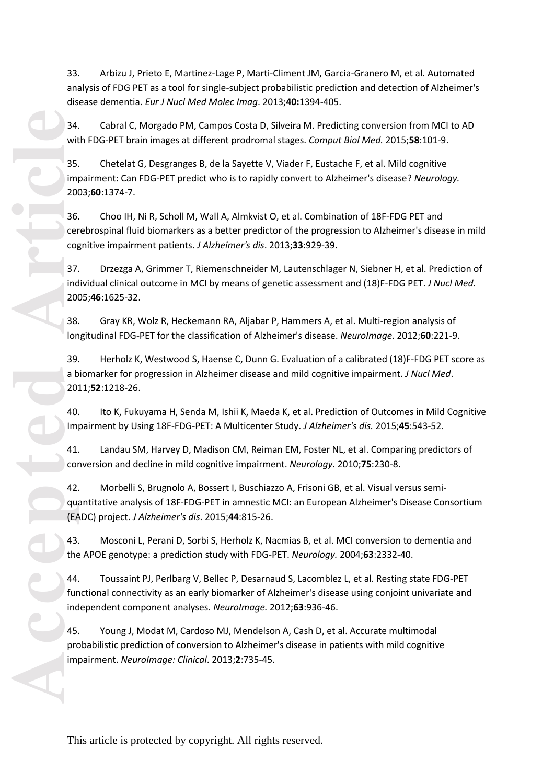33. Arbizu J, Prieto E, Martinez-Lage P, Marti-Climent JM, Garcia-Granero M, et al. Automated analysis of FDG PET as a tool for single -subject probabilistic prediction and detection of Alzheimer's disease dementia. *Eur J Nucl Med Molec Imag*. 2013;**40:**1394 -405.

34. Cabral C, Morgado PM, Campos Costa D, Silveira M. Predicting conversion from MCI to AD with FDG -PET brain images at different prodromal stages. *Comput Biol Med.* 2015;**58**:101 -9.

35. Chetelat G, Desgranges B, de la Sayette V, Viader F, Eustache F, et al. Mild cognitive impairment: Can FDG -PET predict who is to rapidly convert to Alzheimer's disease? *Neurology.*  2003;**60**:1374 -7.

36. Choo IH, Ni R, Scholl M, Wall A, Almkvist O, et al. Combination of 18F -FDG PET and cerebrospinal fluid biomarkers as a better predictor of the progression to Alzheimer's disease in mild cognitive impairment patients. *J Alzheimer's dis*. 2013;**33**:929 -39.

37. Drzezga A, Grimmer T, Riemenschneider M, Lautenschlager N, Siebner H, et al. Prediction of individual clinical outcome in MCI by means of genetic assessment and (18)F -FDG PET. *J Nucl Med.* 2005;**46**:1625 -32.

38. Gray KR, Wolz R, Heckemann RA, Aljabar P, Hammers A, et al. Multi -region analysis of longitudinal FDG - PET for the classification of Alzheimer's disease. *NeuroImage*. 2012;**60**:221 -9.

39. Herholz K, Westwood S, Haense C, Dunn G. Evaluation of a calibrated (18)F -FDG PET score as a biomarker for progression in Alzheimer disease and mild cognitive impairment. *J Nucl Med*. 2011;**52**:1218 -26.

40. Ito K, Fukuyama H, Senda M, Ishii K, Maeda K, et al. Prediction of Outcomes in Mild Cognitive Impairment by Using 18F -FDG -PET: A Multicenter Study. *J Alzheimer's dis.* 2015;**45**:543 -52.

41. Landau SM, Harvey D, Madison CM, Reiman EM, Foster NL, et al. Comparing predictors of conversion and decline in mild cognitive impairment. *Neurology.* 2010;**75**:230 -8.

42. Morbelli S, Brugnolo A, Bossert I, Buschiazzo A, Frisoni GB, et al. Visual versus semi quantitative analysis of 18F -FDG -PET in amnestic MCI: an European Alzheimer's Disease Consortium (EADC) project. *J Alzheimer's dis*. 2015;**44**:815 -26.

43. Mosconi L, Perani D, Sorbi S, Herholz K, Nacmias B, et al. MCI conversion to dementia and the APOE genotype: a prediction study with FDG -PET. *Neurology.* 2004;**63**:2332 -40.

44. Toussaint PJ, Perlbarg V, Bellec P, Desarnaud S, Lacomblez L, et al. Resting state FDG -PET functional connectivity as an early biomarker of Alzheimer's disease using conjoint univariate and independent component analyses. *NeuroImage.* 2012;**63**:936 -46.

45. Young J, Modat M, Cardoso MJ, Mendelson A, Cash D, et al. Accurate multimodal probabilistic prediction of conversion to Alzheimer's disease in patients with mild cognitive impairment. *NeuroImage : Clinical*. 2013; **2**:735 -45.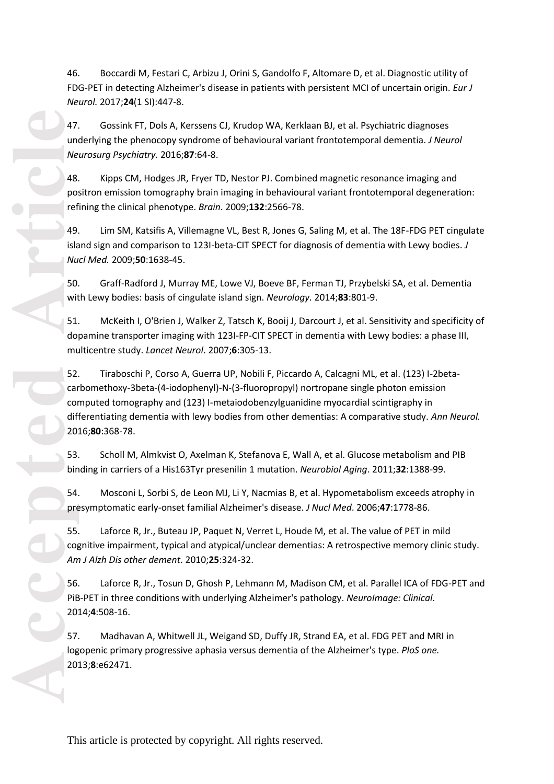46. Boccardi M, Festari C, Arbizu J, Orini S, Gandolfo F, Altomare D, et al. Diagnostic utility of FDG -PET in detecting Alzheimer's disease in patients with persistent MCI of uncertain origin. *Eur J Neurol.* 2017;**24**(1 SI):447 -8.

47 . Gossink FT, Dols A, Kerssens CJ, Krudop WA, Kerklaan BJ, et al. Psychiatric diagnoses underlying the phenocopy syndrome of behavioural variant frontotemporal dementia. *J Neurol Neurosurg Psychiatry.* 2016;**87**:64 -8.

48 . Kipps CM, Hodges JR, Fryer TD, Nestor PJ. Combined magnetic resonance imaging and positron emission tomography brain imaging in behavioural variant frontotemporal degeneration: refining the clinical phenotype. *Brain*. 2009;**132**:2566 -78.

49. Lim SM, Katsifis A, Villemagne VL, Best R, Jones G, Saling M, et al. The 18F -FDG PET cingulate island sign and comparison to 123I-beta-CIT SPECT for diagnosis of dementia with Lewy bodies. *J Nucl Med.* 2009;**50**:1638 -45.

50. Graff -Radford J, Murray ME, Lowe VJ, Boeve BF, Ferman TJ, Przybelski SA, et al. Dementia with Lewy bodies: basis of cingulate island sign. *Neurology.* 2014;**83**:801 -9.

51. McKeith I, O'Brien J, Walker Z, Tatsch K, Booij J, Darcourt J, et al. Sensitivity and specificity of dopamine transporter imaging with 123I -FP -CIT SPECT in dementia with Lewy bodies: a phase III, multicentre study. *Lancet Neurol*. 2007; **6**:305 -13.

47. und Ne<br>
Ne<br>
18. point of 49.<br>
islamed mund Solution Mund Solution Mund Solution Mund Solution Mund Solution Mund Solution Mund Solution Mund Solution Solution Solution Solution Solution Solution Solution Solution Solut 52. Tiraboschi P, Corso A, Guerra UP, Nobili F, Piccardo A, Calcagni ML, et al. (123) I -2beta carbomethoxy-3beta-(4-iodophenyl)-N-(3-fluoropropyl) nortropane single photon emission computed tomography and (123) I -metaiodobenzylguanidine myocardial scintigraphy in differentiating dementia with lewy bodies from other dementias: A comparative study. *Ann Neurol.*  2016;**80**:368 -78.

53 . Scholl M, Almkvist O, Axelman K, Stefanova E, Wall A, et al. Glucose metabolism and PIB binding in carriers of a His163Tyr presenilin 1 mutation. *Neurobiol Aging*. 2011;**32**:1388 -99.

54 . Mosconi L, Sorbi S, de Leon MJ, Li Y, Nacmias B, et al. Hypometabolism exceeds atrophy in presymptomatic early -onset familial Alzheimer's disease. *J Nucl Med*. 2006;**47**:1778 -86.

55 Laforce R, Jr., Buteau JP, Paquet N, Verret L, Houde M, et al. The value of PET in mild cognitive impairment, typical and atypical/unclear dementias: A retrospective memory clinic study. *Am J Alzh Dis other dement*. 2010;**25**:324 -32.

56 . Laforce R, Jr., Tosun D, Ghosh P, Lehmann M, Madison CM, et al. Parallel ICA of FDG -PET and PiB -PET in three conditions with underlying Alzheimer's pathology. *NeuroImage: Clinical*. 2014; **4**:508 -16.

57 . Madhavan A, Whitwell JL, Weigand SD, Duffy JR, Strand EA, et al. FDG PET and MRI in logopenic primary progressive aphasia versus dementia of the Alzheimer's type. *PloS one.*  2013; **8**:e62471.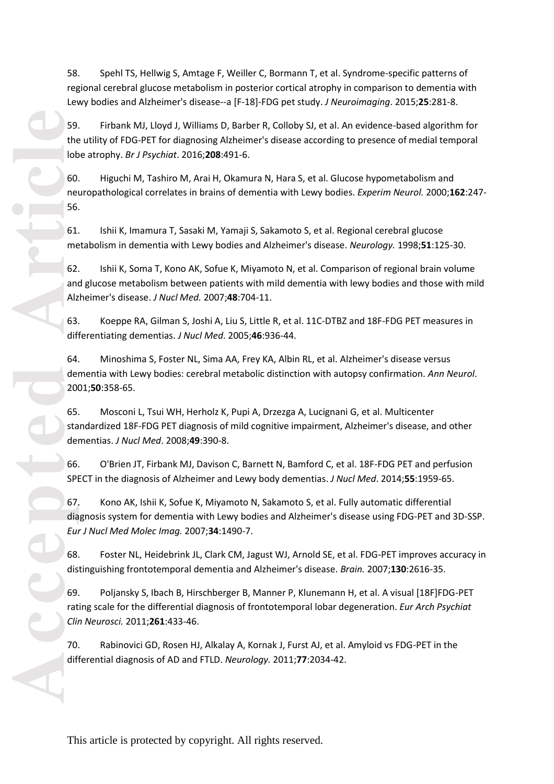58 . Spehl TS, Hellwig S, Amtage F, Weiller C, Bormann T, et al. Syndrome -specific patterns of regional cerebral glucose metabolism in posterior cortical atrophy in comparison to dementia with Lewy bodies and Alzheimer's disease--a [F -18] -FDG pet study. *J Neuroimaging*. 2015;**25**:281 -8.

59 . Firbank MJ, Lloyd J, Williams D, Barber R, Colloby SJ, et al. An evidence -based algorithm for the utility of FDG -PET for diagnosing Alzheimer's disease according to presence of medial temporal lobe atrophy. *Br J Psychiat*. 2016; **208**:491 -6.

60 . Higuchi M, Tashiro M, Arai H, Okamura N, Hara S, et al. Glucose hypometabolism and neuropathological correlates in brains of dementia with Lewy bodies. *Experim Neurol.* 2000;**162**:247 - 56.

61 . Ishii K, Imamura T, Sasaki M, Yamaji S, Sakamoto S, et al. Regional cerebral glucose metabolism in dementia with Lewy bodies and Alzheimer's disease. *Neurology.* 1998;**51**:125 -30.

62 . Ishii K, Soma T, Kono AK, Sofue K, Miyamoto N, et al. Comparison of regional brain volume and glucose metabolism between patients with mild dementia with lewy bodies and those with mild Alzheimer's disease. *J Nucl Med.* 2007;**48**:704 -11.

63 . Koeppe RA, Gilman S, Joshi A, Liu S, Little R, et al. 11C -DTBZ and 18F -FDG PET measures in differentiating dementias. *J Nucl Med*. 2005;**46**:936 -44.

64 . Minoshima S, Foster NL, Sima AA, Frey KA, Albin RL, et al. Alzheimer's disease versus dementia with Lewy bodies: cerebral metabolic distinction with autopsy confirmation. *Ann Neurol*. 2001;**50**:358 -65.

6 5 . Mosconi L, Tsui WH, Herholz K, Pupi A, Drzezga A, Lucignani G, et al. Multicenter standardized 18F -FDG PET diagnosis of mild cognitive impairment, Alzheimer's disease, and other dementias. *J Nucl Med*. 2008;**49**:390 -8.

6 6 . O'Brien JT, Firbank MJ, Davison C, Barnett N, Bamford C, et al. 18F -FDG PET and perfusion SPECT in the diagnosis of Alzheimer and Lewy body dementias. *J Nucl Med*. 2014;**55**:1959 -65.

59.<br>
the lob<br>
fol.<br>
me 62.<br>
fol.<br>
me 62.<br>
and Alz<br>
63.<br>
difference and Alz<br>
42.<br>
63.<br>
difference and Alz<br>
55.<br>
difference and Alz<br>
70.<br>
difference and Eur<br>
66.<br>
State of State and Eur<br>
66.<br>
State of State and Eur<br>
66.<br>
Sta 6 7 . Kono AK, Ishii K, Sofue K, Miyamoto N, Sakamoto S, et al. Fully automatic differential diagnosis system for dementia with Lewy bodies and Alzheimer's disease using FDG -PET and 3D -SSP. *Eur J Nucl Med Molec Imag.* 2007;**34**:1490 -7.

68 . Foster NL, Heidebrink JL, Clark CM, Jagust WJ, Arnold SE, et al. FDG -PET improves accuracy in distinguishing frontotemporal dementia and Alzheimer's disease. *Brain.* 2007;**130**:2616 -35.

69 . Poljansky S, Ibach B, Hirschberger B, Manner P, Klunemann H, et al. A visual [18F]FDG -PET rating scale for the differential diagnosis of frontotemporal lobar degeneration. *Eur Arch Psychiat Clin Neurosci.* 2011;**261**:433 -46.

70 . Rabinovici GD, Rosen HJ, Alkalay A, Kornak J, Furst AJ, et al. Amyloid vs FDG -PET in the differential diagnosis of AD and FTLD. *Neurology.* 2011;**77**:2034 -42.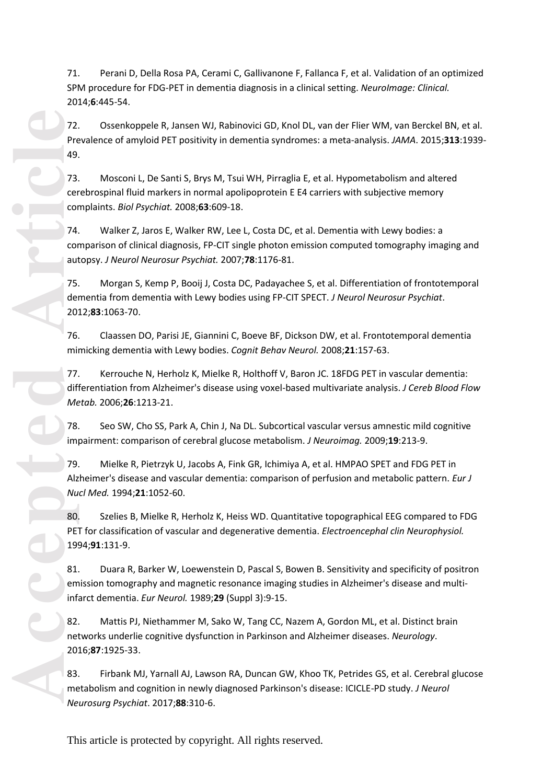71 . Perani D, Della Rosa PA, Cerami C, Gallivanone F, Fallanca F, et al. Validation of an optimized SPM procedure for FDG -PET in dementia diagnosis in a clinical setting. *NeuroImage: Clinical.* 2014; **6**:445 -54.

72. Ossenkoppele R, Jansen WJ, Rabinovici GD, Knol DL, van der Flier WM, van Berckel BN, et al. Prevalence of amyloid PET positivity in dementia syndromes: a meta -analysis. *JAMA*. 2015;**313**:1939 - 49.

73. Mosconi L, De Santi S, Brys M, Tsui WH, Pirraglia E, et al. Hypometabolism and altered cerebrospinal fluid markers in normal apolipoprotein E E4 carriers with subjective memory complaints. *Biol Psychiat.* 2008;**63**:609 -18.

74. Walker Z, Jaros E, Walker RW, Lee L, Costa DC, et al. Dementia with Lewy bodies: a comparison of clinical diagnosis, FP -CIT single photon emission computed tomography imaging and autopsy. *J Neurol Neurosur Psychiat.* 2007;**78**:1176 -81.

75. Morgan S, Kemp P, Booij J, Costa DC, Padayachee S, et al. Differentiation of frontotemporal dementia from dementia with Lewy bodies using FP -CIT SPECT. *J Neurol Neurosur Psychiat*. 2012;**83**:1063 -70.

76. Claassen DO, Parisi JE, Giannini C, Boeve BF, Dickson DW, et al. Frontotemporal dementia mimicking dementia with Lewy bodies. *Cognit Behav Neurol.* 2008;**21**:157 -63.

7 7 . Kerrouche N, Herholz K, Mielke R, Holthoff V, Baron JC. 18FDG PET in vascular dementia: differentiation from Alzheimer's disease using voxel -based multivariate analysis. *J Cereb Blood Flow Metab.* 2006;**26**:1213 -21.

7 8 . Seo SW, Cho SS, Park A, Chin J, Na DL. Subcortical vascular versus amnestic mild cognitive impairment: comparison of cerebral glucose metabolism. *J Neuroimag.* 2009;**19**:213 -9.

7 9 . Mielke R, Pietrzyk U, Jacobs A, Fink GR, Ichimiya A, et al. HMPAO SPET and FDG PET in Alzheimer's disease and vascular dementia: comparison of perfusion and metabolic pattern. *Eur J Nucl Med.* 1994;**21**:1052 -60.

80 . Szelies B, Mielke R, Herholz K, Heiss WD. Quantitative topographical EEG compared to FDG PET for classification of vascular and degenerative dementia. *Electroencephal clin Neurophysiol.* 1994;**91**:131 -9.

81 . Duara R, Barker W, Loewenstein D, Pascal S, Bowen B. Sensitivity and specificity of positron emission tomography and magnetic resonance imaging studies in Alzheimer's disease and multi infarct dementia. *Eur Neurol.* 1989;**29** (Suppl 3 ):9 -15.

82. Mattis PJ, Niethammer M, Sako W, Tang CC, Nazem A, Gordon ML, et al. Distinct brain networks underlie cognitive dysfunction in Parkinson and Alzheimer diseases. *Neurology*. 2016;**87**:1925 -33.

83. Firbank MJ, Yarnall AJ, Lawson RA, Duncan GW, Khoo TK, Petrides GS, et al. Cerebral glucose metabolism and cognition in newly diagnosed Parkinson's disease: ICICLE -PD study. *J Neurol Neurosurg Psychiat*. 2017;**88**:310 -6.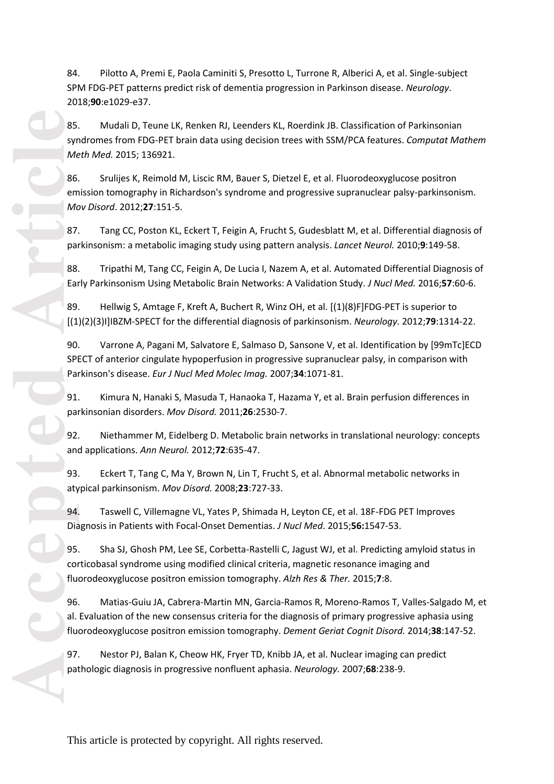84. Pilotto A, Premi E, Paola Caminiti S, Presotto L, Turrone R, Alberici A, et al. Single -subject SPM FDG -PET patterns predict risk of dementia progression in Parkinson disease. *Neurology*. 2018;**90**:e1029 -e37.

85. Mudali D, Teune LK, Renken RJ, Leenders KL, Roerdink JB. Classification of Parkinsonian syndromes from FDG -PET brain data using decision trees with SSM/PCA features. *Computat Mathem Meth Med.* 2015; 136921.

86 . Srulijes K, Reimold M, Liscic RM, Bauer S, Dietzel E, et al. Fluorodeoxyglucose positron emission tomography in Richardson's syndrome and progressive supranuclear palsy -parkinsonism. *Mov Disord*. 2012;**27**:151 -5.

87 . Tang CC, Poston KL, Eckert T, Feigin A, Frucht S, Gudesblatt M, et al. Differential diagnosis of parkinsonism: a metabolic imaging study using pattern analysis. *Lancet Neurol.* 2010; **9**:149 -58.

8 8 . Tripathi M, Tang CC, Feigin A, De Lucia I, Nazem A, et al. Automated Differential Diagnosis of Early Parkinsonism Using Metabolic Brain Networks: A Validation Study. *J Nucl Med.* 2016;**57**:60 -6.

8 9 . Hellwig S, Amtage F, Kreft A, Buchert R, Winz OH, et al. [(1)(8)F]FDG -PET is superior to [(1)(2)(3)I]IBZM -SPECT for the differential diagnosis of parkinsonism. *Neurology.* 2012;**79**:1314 -22.

90 . Varrone A, Pagani M, Salvatore E, Salmaso D, Sansone V, et al. Identification by [99mTc]ECD SPECT of anterior cingulate hypoperfusion in progressive supranuclear palsy, in comparison with Parkinson's disease. *Eur J Nucl Med Molec Imag.* 2007;**34**:1071 -81.

91 . Kimura N, Hanaki S, Masuda T, Hanaoka T, Hazama Y, et al. Brain perfusion differences in parkinsonian disorders. *Mov Disord.* 2011;**26**:2530 -7.

92 . Niethammer M, Eidelberg D. Metabolic brain networks in translational neurology: concepts and applications. *Ann Neurol.* 2012;**72**:635 -47.

93 . Eckert T, Tang C, Ma Y, Brown N, Lin T, Frucht S, et al. Abnormal metabolic networks in atypical parkinsonism. *Mov Disord.* 2008;**23**:727 -33.

94 . Taswell C, Villemagne VL, Yates P, Shimada H, Leyton CE, et al. 18F -FDG PET Improves Diagnosis in Patients with Focal -Onset Dementias. *J Nucl Med*. 2015;**56:**1547 -53.

95 . Sha SJ, Ghosh PM, Lee SE, Corbetta-Rastelli C, Jagust WJ, et al. Predicting amyloid status in corticobasal syndrome using modified clinical criteria, magnetic resonance imaging and fluorodeoxyglucose positron emission tomography. *Alzh Res & Ther.* 2015; **7**:8.

96 . Matias-Guiu JA, Cabrera-Martin MN, Garcia-Ramos R, Moreno-Ramos T, Valles-Salgado M, et al. Evaluation of the new consensus criteria for the diagnosis of primary progressive aphasia using fluorodeoxyglucose positron emission tomography. *Dement Geriat Cognit Disord.* 2014;**38**:147 -52.

97 . Nestor PJ, Balan K, Cheow HK, Fryer TD, Knibb JA, et al. Nuclear imaging can predict pathologic diagnosis in progressive nonfluent aphasia. *Neurology.* 2007;**68**:238 -9.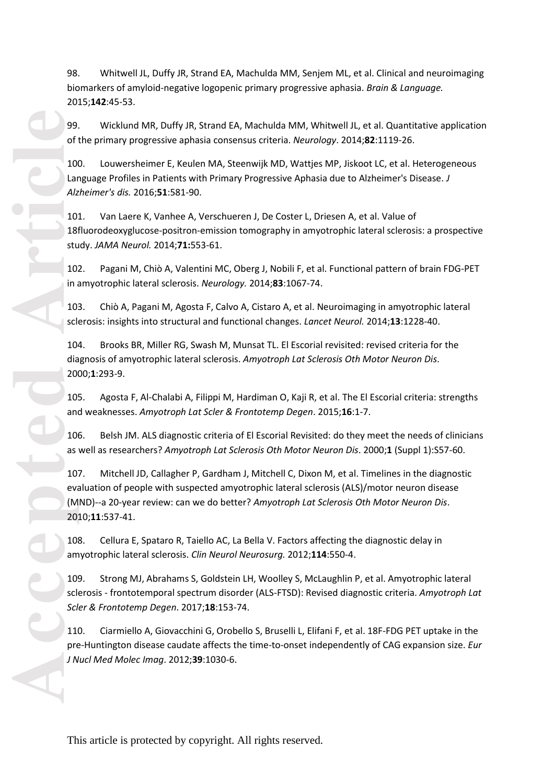biomarkers of amyloid -negative logopenic primary progressive aphasia. *Brain & Language.* 2015;**142**:45 -53.

9 9 . Wicklund MR, Duffy JR, Strand EA, Machulda MM, Whitwell JL, et al. Quantitative application of the primary progressive aphasia consensus criteria. *Neurology*. 2014;**82**:1119 -26.

100 . Louwersheimer E, Keulen MA, Steenwijk MD, Wattjes MP, Jiskoot LC, et al. Heterogeneous Language Profiles in Patients with Primary Progressive Aphasia due to Alzheimer's Disease. *J Alzheimer's dis.* 2016;**51**:581 -90.

101 . Van Laere K, Vanhee A, Verschueren J, De Coster L, Driesen A, et al. Value of 18fluorodeoxyglucose -positron -emission tomography in amyotrophic lateral sclerosis: a prospective study. *JAMA Neurol.* 2014;**71:**553 -61.

102. Pagani M, Chiò A, Valentini MC, Oberg J, Nobili F, et al. Functional pattern of brain FDG -PET in amyotrophic lateral sclerosis. *Neurology.* 2014;**83**:1067 -74.

103 . Chiò A, Pagani M, Agosta F, Calvo A, Cistaro A, et al. Neuroimaging in amyotrophic lateral sclerosis: insights into structural and functional changes. *Lancet Neurol.* 2014;**13**:1228 -40.

104 . Brooks BR, Miller RG, Swash M, Munsat TL. El Escorial revisited: revised criteria for the diagnosis of amyotrophic lateral sclerosis. *Amyotroph Lat Sclerosis Oth Motor Neuron Dis*. 2000; **1**:293 -9.

105 . Agosta F, Al -Chalabi A, Filippi M, Hardiman O, Kaji R, et al. The El Escorial criteria: strengths and weaknesses. *Amyotroph Lat Scler & Frontotemp Degen*. 2015;**16**:1 -7.

106 . Belsh JM. ALS diagnostic criteria of El Escorial Revisited: do they meet the needs of clinicians as well as researchers? *Amyotroph Lat Sclerosis Oth Motor Neuron Dis*. 2000; **1** (Suppl 1 ):S57 -60.

SR. - Whitevell II, Duffy II, Strand EA, Machulch MM, Senjem ML, et al. Clinical and neuroimaging<br>2015;142:45-53.<br>2015;142:45-53.<br>2015;142:45-53.<br>2015;142:45-53.<br>2015;142:45-53.<br>40. Whichmed MM, Buffy JR, Strand FA, Machul 107 . Mitchell JD, Callagher P, Gardham J, Mitchell C, Dixon M, et al. Timelines in the diagnostic evaluation of people with suspected amyotrophic lateral sclerosis (ALS)/motor neuron disease (MND)--a 20 -year review: can we do better? *Amyotroph Lat Sclerosis Oth Motor Neuron Dis*. 2010;**11**:537 -41.

10 8 . Cellura E, Spataro R, Taiello AC, La Bella V. Factors affecting the diagnostic delay in amyotrophic lateral sclerosis. *Clin Neurol Neurosur g .* 2012;**114**:550 -4.

10 9 . Strong MJ, Abrahams S, Goldstein LH, Woolley S, McLaughlin P, et al. Amyotrophic lateral sclerosis - frontotemporal spectrum disorder (ALS -FTSD): Revised diagnostic criteria. *Amyotroph Lat Scler & Frontotemp Degen*. 2017;**18**:153 -74.

110 . Ciarmiello A, Giovacchini G, Orobello S, Bruselli L, Elifani F, et al. 18F -FDG PET uptake in the pre-Huntington disease caudate affects the time-to-onset independently of CAG expansion size. *Eur J Nucl Med Molec Imag*. 2012;**39**:1030 -6.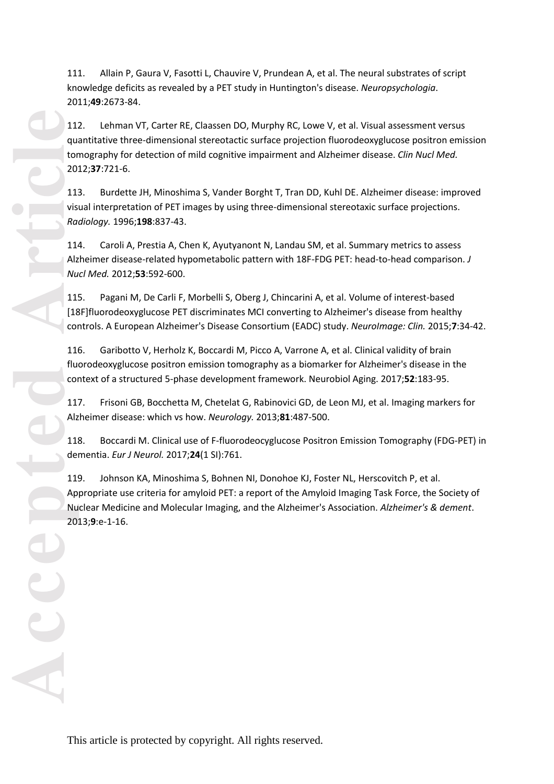knowledge deficits as revealed by a PET study in Huntington's disease. *Neuropsychologia*. 2011;**49**:2673 -84.

111. Allain P, Gaura V, Fascult L, Chauvier V, Prundean A, et al. The neural substrates of script is the metallicated of the metallicate of script is the metallic three This converted by a PTT study in Huntington's disease 112 . Lehman VT, Carter RE, Claassen DO, Murphy RC, Lowe V, et al. Visual assessment versus quantitative three -dimensional stereotactic surface projection fluorodeoxyglucose positron emission tomography for detection of mild cognitive impairment and Alzheimer disease. *Clin Nucl Med.* 2012;**37**:721 -6.

113 . Burdette JH, Minoshima S, Vander Borght T, Tran DD, Kuhl DE. Alzheimer disease: improved visual interpretation of PET images by using three -dimensional stereotaxic surface projections. *Radiology.* 1996;**198**:837 -43.

114 . Caroli A, Prestia A, Chen K, Ayutyanont N, Landau SM, et al. Summary metrics to assess Alzheimer disease -related hypometabolic pattern with 18F -FDG PET: head -to -head comparison. *J Nucl Med.* 2012;**53**:592 -600.

115 . Pagani M, De Carli F, Morbelli S, Oberg J, Chincarini A, et al. Volume of interest -based [18F]fluorodeoxyglucose PET discriminates MCI converting to Alzheimer's disease from healthy controls. A European Alzheimer's Disease Consortium (EADC) study. *NeuroImage: Clin.* 2015; **7**:34 -42.

116 . Garibotto V, Herholz K, Boccardi M, Picco A, Varrone A, et al. Clinical validity of brain fluorodeoxyglucose positron emission tomography as a biomarker for Alzheimer's disease in the context of a structured 5 -phase development framework. Neurobiol Aging. 2017;**52**:183 -95.

117 . Frisoni GB, Bocchetta M, Chetelat G, Rabinovici GD, de Leon MJ, et al. Imaging markers for Alzheimer disease: which vs how. *Neurology.* 2013;**81**:487 -500.

118. Boccardi M. Clinical use of F-fluorodeocyglucose Positron Emission Tomography (FDG-PET) in dementia. *Eur J Neurol.* 2017;**24**(1 SI):761.

11 9 . Johnson KA, Minoshima S, Bohnen NI, Donohoe KJ, Foster NL, Herscovitch P, et al. Appropriate use criteria for amyloid PET: a report of the Amyloid Imaging Task Force, the Society of Nuclear Medicine and Molecular Imaging, and the Alzheimer's Association. *Alzheimer's & dement*. 2013; **9**:e - 1 -16.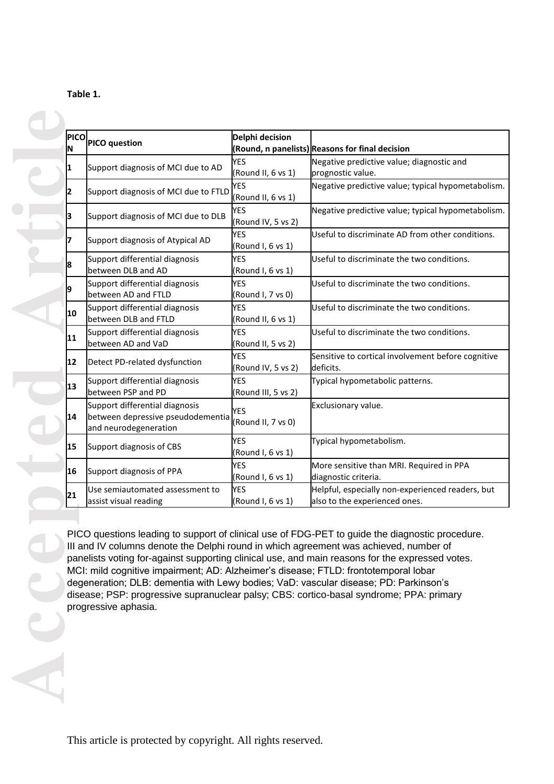| able |
|------|
|------|

| ΙN | PICO PICO question                                                                                                                                                                                                                                                                           | Delphi decision                   | (Round, n panelists) Reasons for final decision                                                                                                                                                                                                                                               |
|----|----------------------------------------------------------------------------------------------------------------------------------------------------------------------------------------------------------------------------------------------------------------------------------------------|-----------------------------------|-----------------------------------------------------------------------------------------------------------------------------------------------------------------------------------------------------------------------------------------------------------------------------------------------|
|    | Support diagnosis of MCI due to AD                                                                                                                                                                                                                                                           | <b>YES</b><br>(Round II, 6 vs 1)  | Negative predictive value; diagnostic and<br>prognostic value.                                                                                                                                                                                                                                |
| 2  | Support diagnosis of MCI due to FTLD                                                                                                                                                                                                                                                         | <b>YES</b><br>(Round II, 6 vs 1)  | Negative predictive value; typical hypometabolism.                                                                                                                                                                                                                                            |
| 3  | Support diagnosis of MCI due to DLB                                                                                                                                                                                                                                                          | <b>YES</b><br>(Round IV, 5 vs 2)  | Negative predictive value; typical hypometabolism.                                                                                                                                                                                                                                            |
|    | Support diagnosis of Atypical AD                                                                                                                                                                                                                                                             | <b>YES</b><br>(Round I, 6 vs 1)   | Useful to discriminate AD from other conditions.                                                                                                                                                                                                                                              |
|    | Support differential diagnosis<br>between DLB and AD                                                                                                                                                                                                                                         | <b>YES</b><br>(Round I, 6 vs 1)   | Useful to discriminate the two conditions.                                                                                                                                                                                                                                                    |
|    | Support differential diagnosis<br>between AD and FTLD                                                                                                                                                                                                                                        | <b>YES</b><br>(Round I, 7 vs 0)   | Useful to discriminate the two conditions.                                                                                                                                                                                                                                                    |
| 10 | Support differential diagnosis<br>between DLB and FTLD                                                                                                                                                                                                                                       | <b>YES</b><br>(Round II, 6 vs 1)  | Useful to discriminate the two conditions.                                                                                                                                                                                                                                                    |
| 11 | Support differential diagnosis<br>between AD and VaD                                                                                                                                                                                                                                         | <b>YES</b><br>(Round II, 5 vs 2)  | Useful to discriminate the two conditions.                                                                                                                                                                                                                                                    |
| 12 | Detect PD-related dysfunction                                                                                                                                                                                                                                                                | <b>YES</b><br>(Round IV, 5 vs 2)  | Sensitive to cortical involvement before cognitive<br>deficits.                                                                                                                                                                                                                               |
| 13 | Support differential diagnosis<br>between PSP and PD                                                                                                                                                                                                                                         | <b>YES</b><br>(Round III, 5 vs 2) | Typical hypometabolic patterns.                                                                                                                                                                                                                                                               |
| 14 | Support differential diagnosis<br>between depressive pseudodementia<br>and neurodegeneration                                                                                                                                                                                                 | YES<br>(Round II, 7 vs 0)         | Exclusionary value.                                                                                                                                                                                                                                                                           |
| 15 | Support diagnosis of CBS                                                                                                                                                                                                                                                                     | <b>YES</b><br>(Round I, 6 vs 1)   | Typical hypometabolism.                                                                                                                                                                                                                                                                       |
| 16 | Support diagnosis of PPA                                                                                                                                                                                                                                                                     | YES<br>(Round I, 6 vs 1)          | More sensitive than MRI. Required in PPA<br>diagnostic criteria.                                                                                                                                                                                                                              |
| 21 | Use semiautomated assessment to<br>assist visual reading                                                                                                                                                                                                                                     | <b>YES</b><br>(Round I, 6 vs 1)   | Helpful, especially non-experienced readers, but<br>also to the experienced ones.                                                                                                                                                                                                             |
|    | III and IV columns denote the Delphi round in which agreement was achieved, number of<br>MCI: mild cognitive impairment; AD: Alzheimer's disease; FTLD: frontotemporal lobar<br>degeneration; DLB: dementia with Lewy bodies; VaD: vascular disease; PD: Parkinson's<br>progressive aphasia. |                                   | PICO questions leading to support of clinical use of FDG-PET to guide the diagnostic procedure.<br>panelists voting for-against supporting clinical use, and main reasons for the expressed votes.<br>disease; PSP: progressive supranuclear palsy; CBS: cortico-basal syndrome; PPA: primary |